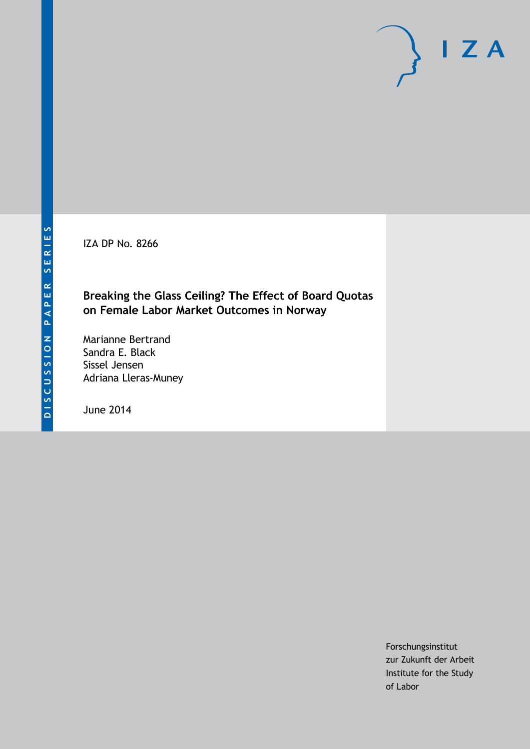IZA DP No. 8266

## **Breaking the Glass Ceiling? The Effect of Board Quotas on Female Labor Market Outcomes in Norway**

Marianne Bertrand Sandra E. Black Sissel Jensen Adriana Lleras-Muney

June 2014

Forschungsinstitut zur Zukunft der Arbeit Institute for the Study of Labor

 $I Z A$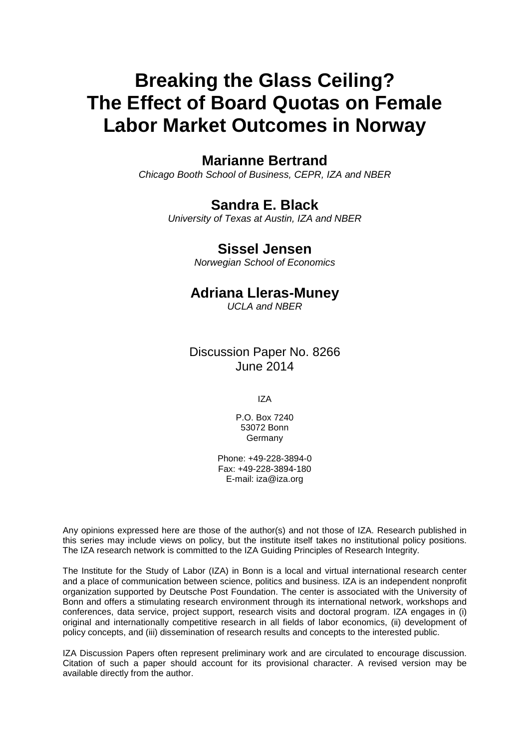# **Breaking the Glass Ceiling? The Effect of Board Quotas on Female Labor Market Outcomes in Norway**

## **Marianne Bertrand**

*Chicago Booth School of Business, CEPR, IZA and NBER*

## **Sandra E. Black**

*University of Texas at Austin, IZA and NBER*

## **Sissel Jensen**

*Norwegian School of Economics*

## **Adriana Lleras-Muney**

*UCLA and NBER*

## Discussion Paper No. 8266 June 2014

IZA

P.O. Box 7240 53072 Bonn Germany

Phone: +49-228-3894-0 Fax: +49-228-3894-180 E-mail: [iza@iza.org](mailto:iza@iza.org)

Any opinions expressed here are those of the author(s) and not those of IZA. Research published in this series may include views on policy, but the institute itself takes no institutional policy positions. The IZA research network is committed to the IZA Guiding Principles of Research Integrity.

The Institute for the Study of Labor (IZA) in Bonn is a local and virtual international research center and a place of communication between science, politics and business. IZA is an independent nonprofit organization supported by Deutsche Post Foundation. The center is associated with the University of Bonn and offers a stimulating research environment through its international network, workshops and conferences, data service, project support, research visits and doctoral program. IZA engages in (i) original and internationally competitive research in all fields of labor economics, (ii) development of policy concepts, and (iii) dissemination of research results and concepts to the interested public.

IZA Discussion Papers often represent preliminary work and are circulated to encourage discussion. Citation of such a paper should account for its provisional character. A revised version may be available directly from the author.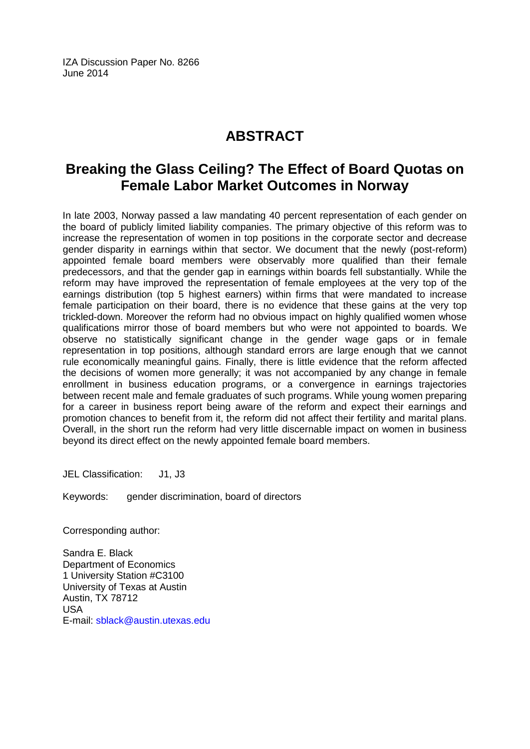IZA Discussion Paper No. 8266 June 2014

## **ABSTRACT**

## **Breaking the Glass Ceiling? The Effect of Board Quotas on Female Labor Market Outcomes in Norway**

In late 2003, Norway passed a law mandating 40 percent representation of each gender on the board of publicly limited liability companies. The primary objective of this reform was to increase the representation of women in top positions in the corporate sector and decrease gender disparity in earnings within that sector. We document that the newly (post-reform) appointed female board members were observably more qualified than their female predecessors, and that the gender gap in earnings within boards fell substantially. While the reform may have improved the representation of female employees at the very top of the earnings distribution (top 5 highest earners) within firms that were mandated to increase female participation on their board, there is no evidence that these gains at the very top trickled-down. Moreover the reform had no obvious impact on highly qualified women whose qualifications mirror those of board members but who were not appointed to boards. We observe no statistically significant change in the gender wage gaps or in female representation in top positions, although standard errors are large enough that we cannot rule economically meaningful gains. Finally, there is little evidence that the reform affected the decisions of women more generally; it was not accompanied by any change in female enrollment in business education programs, or a convergence in earnings trajectories between recent male and female graduates of such programs. While young women preparing for a career in business report being aware of the reform and expect their earnings and promotion chances to benefit from it, the reform did not affect their fertility and marital plans. Overall, in the short run the reform had very little discernable impact on women in business beyond its direct effect on the newly appointed female board members.

JEL Classification: J1, J3

Keywords: gender discrimination, board of directors

Corresponding author:

Sandra E. Black Department of Economics 1 University Station #C3100 University of Texas at Austin Austin, TX 78712 USA E-mail: [sblack@austin.utexas.edu](mailto:sblack@austin.utexas.edu)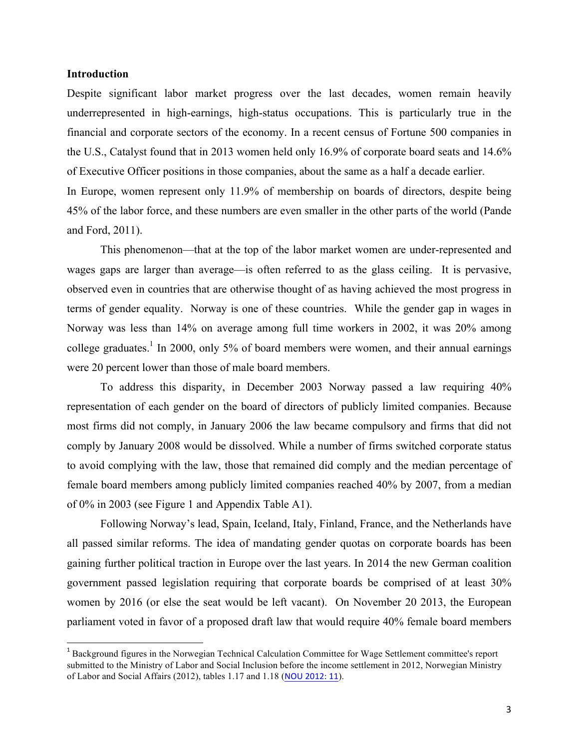#### **Introduction**

<u> 1989 - Johann Stein, marwolaethau a bh</u>

Despite significant labor market progress over the last decades, women remain heavily underrepresented in high-earnings, high-status occupations. This is particularly true in the financial and corporate sectors of the economy. In a recent census of Fortune 500 companies in the U.S., Catalyst found that in 2013 women held only 16.9% of corporate board seats and 14.6% of Executive Officer positions in those companies, about the same as a half a decade earlier.

In Europe, women represent only 11.9% of membership on boards of directors, despite being 45% of the labor force, and these numbers are even smaller in the other parts of the world (Pande and Ford, 2011).

This phenomenon—that at the top of the labor market women are under-represented and wages gaps are larger than average—is often referred to as the glass ceiling. It is pervasive, observed even in countries that are otherwise thought of as having achieved the most progress in terms of gender equality. Norway is one of these countries. While the gender gap in wages in Norway was less than 14% on average among full time workers in 2002, it was 20% among college graduates.<sup>1</sup> In 2000, only 5% of board members were women, and their annual earnings were 20 percent lower than those of male board members.

To address this disparity, in December 2003 Norway passed a law requiring 40% representation of each gender on the board of directors of publicly limited companies. Because most firms did not comply, in January 2006 the law became compulsory and firms that did not comply by January 2008 would be dissolved. While a number of firms switched corporate status to avoid complying with the law, those that remained did comply and the median percentage of female board members among publicly limited companies reached 40% by 2007, from a median of 0% in 2003 (see Figure 1 and Appendix Table A1).

Following Norway's lead, Spain, Iceland, Italy, Finland, France, and the Netherlands have all passed similar reforms. The idea of mandating gender quotas on corporate boards has been gaining further political traction in Europe over the last years. In 2014 the new German coalition government passed legislation requiring that corporate boards be comprised of at least 30% women by 2016 (or else the seat would be left vacant). On November 20 2013, the European parliament voted in favor of a proposed draft law that would require 40% female board members

<sup>&</sup>lt;sup>1</sup> Background figures in the Norwegian Technical Calculation Committee for Wage Settlement committee's report submitted to the Ministry of Labor and Social Inclusion before the income settlement in 2012, Norwegian Ministry of Labor and Social Affairs (2012), tables 1.17 and 1.18 (NOU 2012: 11).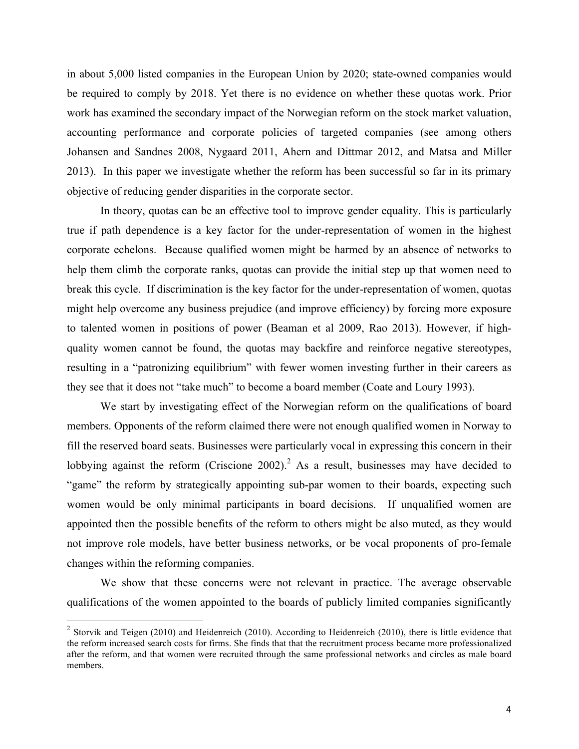in about 5,000 listed companies in the European Union by 2020; state-owned companies would be required to comply by 2018. Yet there is no evidence on whether these quotas work. Prior work has examined the secondary impact of the Norwegian reform on the stock market valuation, accounting performance and corporate policies of targeted companies (see among others Johansen and Sandnes 2008, Nygaard 2011, Ahern and Dittmar 2012, and Matsa and Miller 2013). In this paper we investigate whether the reform has been successful so far in its primary objective of reducing gender disparities in the corporate sector.

In theory, quotas can be an effective tool to improve gender equality. This is particularly true if path dependence is a key factor for the under-representation of women in the highest corporate echelons. Because qualified women might be harmed by an absence of networks to help them climb the corporate ranks, quotas can provide the initial step up that women need to break this cycle. If discrimination is the key factor for the under-representation of women, quotas might help overcome any business prejudice (and improve efficiency) by forcing more exposure to talented women in positions of power (Beaman et al 2009, Rao 2013). However, if highquality women cannot be found, the quotas may backfire and reinforce negative stereotypes, resulting in a "patronizing equilibrium" with fewer women investing further in their careers as they see that it does not "take much" to become a board member (Coate and Loury 1993).

We start by investigating effect of the Norwegian reform on the qualifications of board members. Opponents of the reform claimed there were not enough qualified women in Norway to fill the reserved board seats. Businesses were particularly vocal in expressing this concern in their lobbying against the reform (Criscione 2002).<sup>2</sup> As a result, businesses may have decided to "game" the reform by strategically appointing sub-par women to their boards, expecting such women would be only minimal participants in board decisions. If unqualified women are appointed then the possible benefits of the reform to others might be also muted, as they would not improve role models, have better business networks, or be vocal proponents of pro-female changes within the reforming companies.

We show that these concerns were not relevant in practice. The average observable qualifications of the women appointed to the boards of publicly limited companies significantly

 $2$  Storvik and Teigen (2010) and Heidenreich (2010). According to Heidenreich (2010), there is little evidence that the reform increased search costs for firms. She finds that that the recruitment process became more professionalized after the reform, and that women were recruited through the same professional networks and circles as male board members.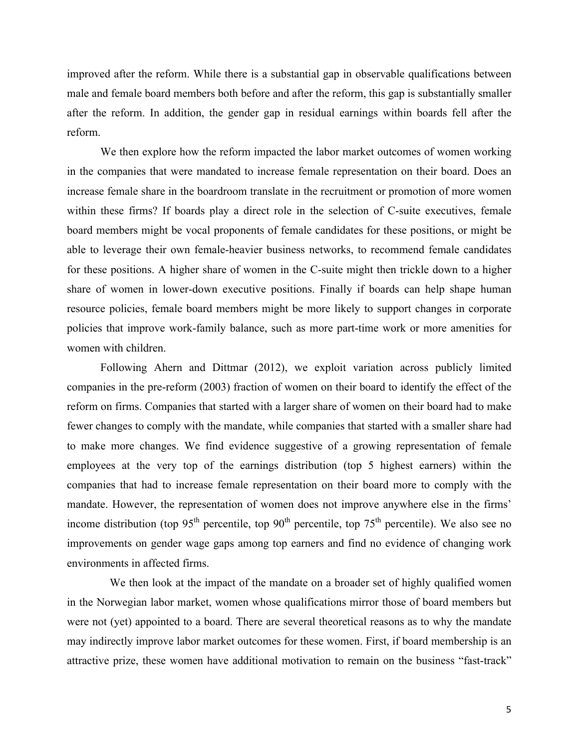improved after the reform. While there is a substantial gap in observable qualifications between male and female board members both before and after the reform, this gap is substantially smaller after the reform. In addition, the gender gap in residual earnings within boards fell after the reform.

We then explore how the reform impacted the labor market outcomes of women working in the companies that were mandated to increase female representation on their board. Does an increase female share in the boardroom translate in the recruitment or promotion of more women within these firms? If boards play a direct role in the selection of C-suite executives, female board members might be vocal proponents of female candidates for these positions, or might be able to leverage their own female-heavier business networks, to recommend female candidates for these positions. A higher share of women in the C-suite might then trickle down to a higher share of women in lower-down executive positions. Finally if boards can help shape human resource policies, female board members might be more likely to support changes in corporate policies that improve work-family balance, such as more part-time work or more amenities for women with children.

Following Ahern and Dittmar (2012), we exploit variation across publicly limited companies in the pre-reform (2003) fraction of women on their board to identify the effect of the reform on firms. Companies that started with a larger share of women on their board had to make fewer changes to comply with the mandate, while companies that started with a smaller share had to make more changes. We find evidence suggestive of a growing representation of female employees at the very top of the earnings distribution (top 5 highest earners) within the companies that had to increase female representation on their board more to comply with the mandate. However, the representation of women does not improve anywhere else in the firms' income distribution (top  $95<sup>th</sup>$  percentile, top  $90<sup>th</sup>$  percentile, top  $75<sup>th</sup>$  percentile). We also see no improvements on gender wage gaps among top earners and find no evidence of changing work environments in affected firms.

We then look at the impact of the mandate on a broader set of highly qualified women in the Norwegian labor market, women whose qualifications mirror those of board members but were not (yet) appointed to a board. There are several theoretical reasons as to why the mandate may indirectly improve labor market outcomes for these women. First, if board membership is an attractive prize, these women have additional motivation to remain on the business "fast-track"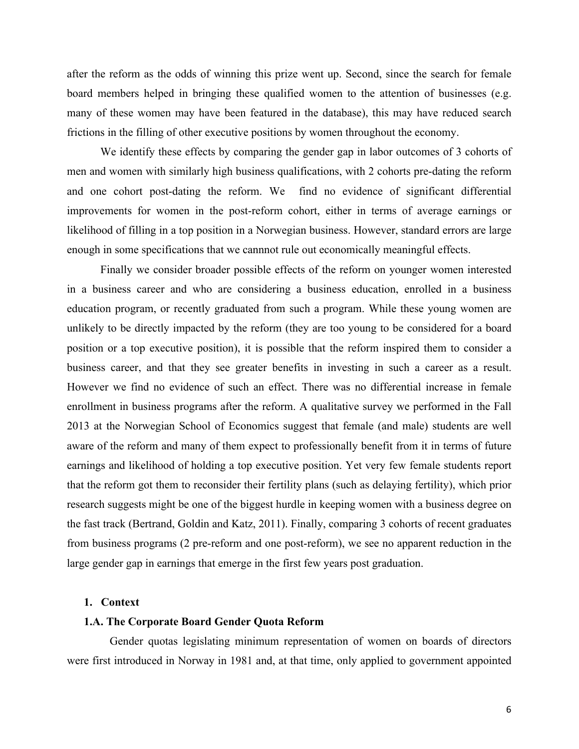after the reform as the odds of winning this prize went up. Second, since the search for female board members helped in bringing these qualified women to the attention of businesses (e.g. many of these women may have been featured in the database), this may have reduced search frictions in the filling of other executive positions by women throughout the economy.

We identify these effects by comparing the gender gap in labor outcomes of 3 cohorts of men and women with similarly high business qualifications, with 2 cohorts pre-dating the reform and one cohort post-dating the reform. We find no evidence of significant differential improvements for women in the post-reform cohort, either in terms of average earnings or likelihood of filling in a top position in a Norwegian business. However, standard errors are large enough in some specifications that we cannnot rule out economically meaningful effects.

Finally we consider broader possible effects of the reform on younger women interested in a business career and who are considering a business education, enrolled in a business education program, or recently graduated from such a program. While these young women are unlikely to be directly impacted by the reform (they are too young to be considered for a board position or a top executive position), it is possible that the reform inspired them to consider a business career, and that they see greater benefits in investing in such a career as a result. However we find no evidence of such an effect. There was no differential increase in female enrollment in business programs after the reform. A qualitative survey we performed in the Fall 2013 at the Norwegian School of Economics suggest that female (and male) students are well aware of the reform and many of them expect to professionally benefit from it in terms of future earnings and likelihood of holding a top executive position. Yet very few female students report that the reform got them to reconsider their fertility plans (such as delaying fertility), which prior research suggests might be one of the biggest hurdle in keeping women with a business degree on the fast track (Bertrand, Goldin and Katz, 2011). Finally, comparing 3 cohorts of recent graduates from business programs (2 pre-reform and one post-reform), we see no apparent reduction in the large gender gap in earnings that emerge in the first few years post graduation.

#### **1. Context**

#### **1.A. The Corporate Board Gender Quota Reform**

Gender quotas legislating minimum representation of women on boards of directors were first introduced in Norway in 1981 and, at that time, only applied to government appointed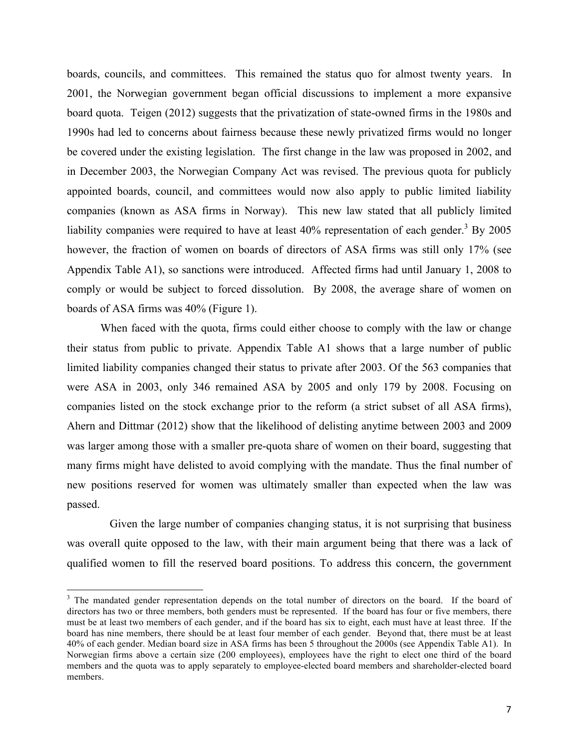boards, councils, and committees. This remained the status quo for almost twenty years. In 2001, the Norwegian government began official discussions to implement a more expansive board quota. Teigen (2012) suggests that the privatization of state-owned firms in the 1980s and 1990s had led to concerns about fairness because these newly privatized firms would no longer be covered under the existing legislation. The first change in the law was proposed in 2002, and in December 2003, the Norwegian Company Act was revised. The previous quota for publicly appointed boards, council, and committees would now also apply to public limited liability companies (known as ASA firms in Norway). This new law stated that all publicly limited liability companies were required to have at least  $40\%$  representation of each gender.<sup>3</sup> By 2005 however, the fraction of women on boards of directors of ASA firms was still only 17% (see Appendix Table A1), so sanctions were introduced. Affected firms had until January 1, 2008 to comply or would be subject to forced dissolution. By 2008, the average share of women on boards of ASA firms was 40% (Figure 1).

When faced with the quota, firms could either choose to comply with the law or change their status from public to private. Appendix Table A1 shows that a large number of public limited liability companies changed their status to private after 2003. Of the 563 companies that were ASA in 2003, only 346 remained ASA by 2005 and only 179 by 2008. Focusing on companies listed on the stock exchange prior to the reform (a strict subset of all ASA firms), Ahern and Dittmar (2012) show that the likelihood of delisting anytime between 2003 and 2009 was larger among those with a smaller pre-quota share of women on their board, suggesting that many firms might have delisted to avoid complying with the mandate. Thus the final number of new positions reserved for women was ultimately smaller than expected when the law was passed.

Given the large number of companies changing status, it is not surprising that business was overall quite opposed to the law, with their main argument being that there was a lack of qualified women to fill the reserved board positions. To address this concern, the government

<sup>&</sup>lt;sup>3</sup> The mandated gender representation depends on the total number of directors on the board. If the board of directors has two or three members, both genders must be represented. If the board has four or five members, there must be at least two members of each gender, and if the board has six to eight, each must have at least three. If the board has nine members, there should be at least four member of each gender. Beyond that, there must be at least 40% of each gender. Median board size in ASA firms has been 5 throughout the 2000s (see Appendix Table A1). In Norwegian firms above a certain size (200 employees), employees have the right to elect one third of the board members and the quota was to apply separately to employee-elected board members and shareholder-elected board members.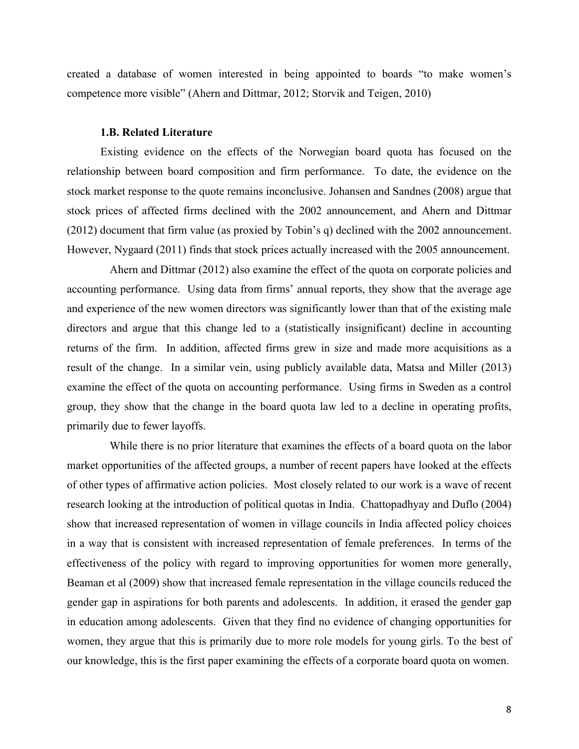created a database of women interested in being appointed to boards "to make women's competence more visible" (Ahern and Dittmar, 2012; Storvik and Teigen, 2010)

#### **1.B. Related Literature**

Existing evidence on the effects of the Norwegian board quota has focused on the relationship between board composition and firm performance. To date, the evidence on the stock market response to the quote remains inconclusive. Johansen and Sandnes (2008) argue that stock prices of affected firms declined with the 2002 announcement, and Ahern and Dittmar (2012) document that firm value (as proxied by Tobin's q) declined with the 2002 announcement. However, Nygaard (2011) finds that stock prices actually increased with the 2005 announcement.

Ahern and Dittmar (2012) also examine the effect of the quota on corporate policies and accounting performance. Using data from firms' annual reports, they show that the average age and experience of the new women directors was significantly lower than that of the existing male directors and argue that this change led to a (statistically insignificant) decline in accounting returns of the firm. In addition, affected firms grew in size and made more acquisitions as a result of the change. In a similar vein, using publicly available data, Matsa and Miller (2013) examine the effect of the quota on accounting performance. Using firms in Sweden as a control group, they show that the change in the board quota law led to a decline in operating profits, primarily due to fewer layoffs.

While there is no prior literature that examines the effects of a board quota on the labor market opportunities of the affected groups, a number of recent papers have looked at the effects of other types of affirmative action policies. Most closely related to our work is a wave of recent research looking at the introduction of political quotas in India. Chattopadhyay and Duflo (2004) show that increased representation of women in village councils in India affected policy choices in a way that is consistent with increased representation of female preferences. In terms of the effectiveness of the policy with regard to improving opportunities for women more generally, Beaman et al (2009) show that increased female representation in the village councils reduced the gender gap in aspirations for both parents and adolescents. In addition, it erased the gender gap in education among adolescents. Given that they find no evidence of changing opportunities for women, they argue that this is primarily due to more role models for young girls. To the best of our knowledge, this is the first paper examining the effects of a corporate board quota on women.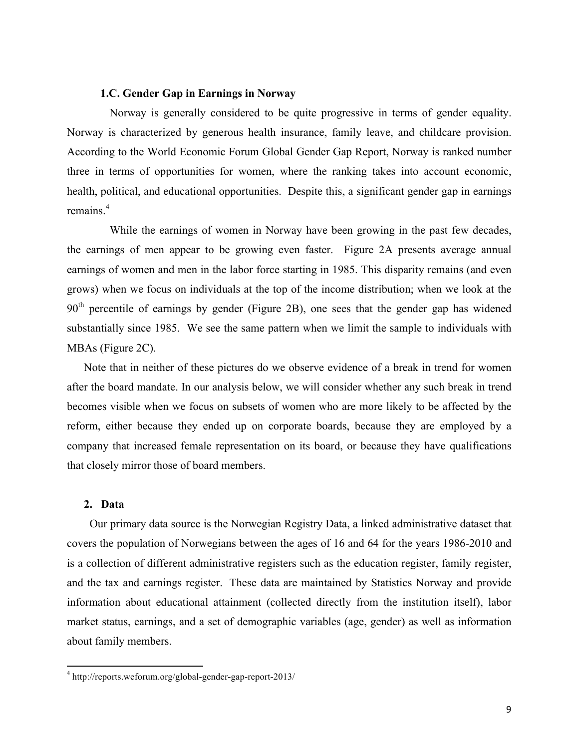#### **1.C. Gender Gap in Earnings in Norway**

Norway is generally considered to be quite progressive in terms of gender equality. Norway is characterized by generous health insurance, family leave, and childcare provision. According to the World Economic Forum Global Gender Gap Report, Norway is ranked number three in terms of opportunities for women, where the ranking takes into account economic, health, political, and educational opportunities. Despite this, a significant gender gap in earnings remains<sup>4</sup>

While the earnings of women in Norway have been growing in the past few decades, the earnings of men appear to be growing even faster. Figure 2A presents average annual earnings of women and men in the labor force starting in 1985. This disparity remains (and even grows) when we focus on individuals at the top of the income distribution; when we look at the  $90<sup>th</sup>$  percentile of earnings by gender (Figure 2B), one sees that the gender gap has widened substantially since 1985. We see the same pattern when we limit the sample to individuals with MBAs (Figure 2C).

Note that in neither of these pictures do we observe evidence of a break in trend for women after the board mandate. In our analysis below, we will consider whether any such break in trend becomes visible when we focus on subsets of women who are more likely to be affected by the reform, either because they ended up on corporate boards, because they are employed by a company that increased female representation on its board, or because they have qualifications that closely mirror those of board members.

#### **2. Data**

Our primary data source is the Norwegian Registry Data, a linked administrative dataset that covers the population of Norwegians between the ages of 16 and 64 for the years 1986-2010 and is a collection of different administrative registers such as the education register, family register, and the tax and earnings register. These data are maintained by Statistics Norway and provide information about educational attainment (collected directly from the institution itself), labor market status, earnings, and a set of demographic variables (age, gender) as well as information about family members.

<u> 1989 - Johann Stein, marwolaethau a bh</u>

<sup>4</sup> http://reports.weforum.org/global-gender-gap-report-2013/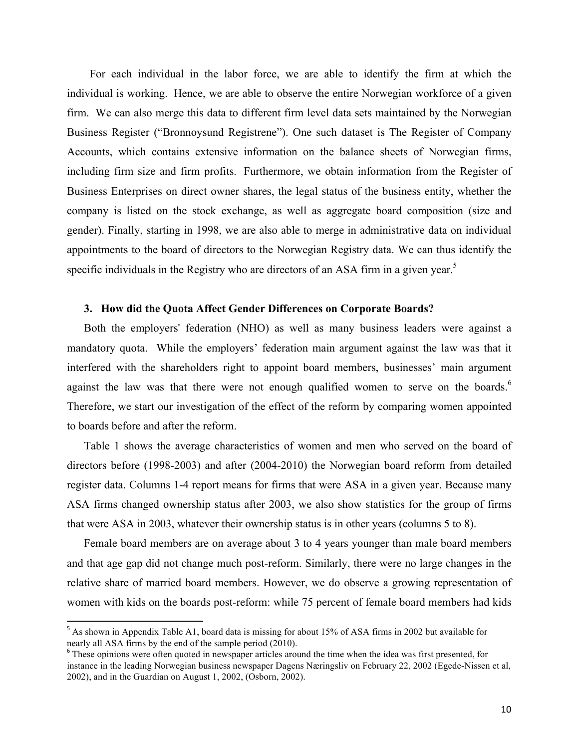For each individual in the labor force, we are able to identify the firm at which the individual is working. Hence, we are able to observe the entire Norwegian workforce of a given firm. We can also merge this data to different firm level data sets maintained by the Norwegian Business Register ("Bronnoysund Registrene"). One such dataset is The Register of Company Accounts, which contains extensive information on the balance sheets of Norwegian firms, including firm size and firm profits. Furthermore, we obtain information from the Register of Business Enterprises on direct owner shares, the legal status of the business entity, whether the company is listed on the stock exchange, as well as aggregate board composition (size and gender). Finally, starting in 1998, we are also able to merge in administrative data on individual appointments to the board of directors to the Norwegian Registry data. We can thus identify the specific individuals in the Registry who are directors of an ASA firm in a given year.<sup>5</sup>

#### **3. How did the Quota Affect Gender Differences on Corporate Boards?**

Both the employers' federation (NHO) as well as many business leaders were against a mandatory quota. While the employers' federation main argument against the law was that it interfered with the shareholders right to appoint board members, businesses' main argument against the law was that there were not enough qualified women to serve on the boards.<sup>6</sup> Therefore, we start our investigation of the effect of the reform by comparing women appointed to boards before and after the reform.

Table 1 shows the average characteristics of women and men who served on the board of directors before (1998-2003) and after (2004-2010) the Norwegian board reform from detailed register data. Columns 1-4 report means for firms that were ASA in a given year. Because many ASA firms changed ownership status after 2003, we also show statistics for the group of firms that were ASA in 2003, whatever their ownership status is in other years (columns 5 to 8).

Female board members are on average about 3 to 4 years younger than male board members and that age gap did not change much post-reform. Similarly, there were no large changes in the relative share of married board members. However, we do observe a growing representation of women with kids on the boards post-reform: while 75 percent of female board members had kids

<u> 1989 - Johann Stein, marwolaethau a bh</u>

<sup>&</sup>lt;sup>5</sup> As shown in Appendix Table A1, board data is missing for about 15% of ASA firms in 2002 but available for nearly all ASA firms by the end of the sample period (2010).

<sup>&</sup>lt;sup>6</sup> These opinions were often quoted in newspaper articles around the time when the idea was first presented, for instance in the leading Norwegian business newspaper Dagens Næringsliv on February 22, 2002 (Egede-Nissen et al, 2002), and in the Guardian on August 1, 2002, (Osborn, 2002).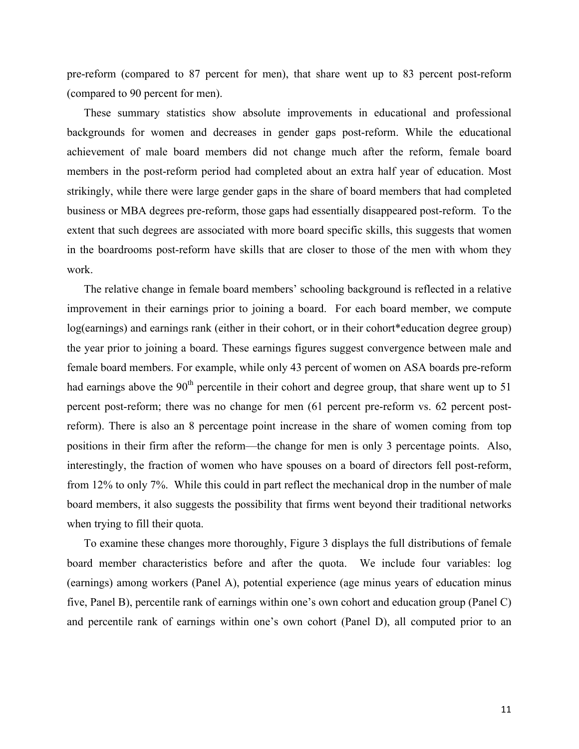pre-reform (compared to 87 percent for men), that share went up to 83 percent post-reform (compared to 90 percent for men).

These summary statistics show absolute improvements in educational and professional backgrounds for women and decreases in gender gaps post-reform. While the educational achievement of male board members did not change much after the reform, female board members in the post-reform period had completed about an extra half year of education. Most strikingly, while there were large gender gaps in the share of board members that had completed business or MBA degrees pre-reform, those gaps had essentially disappeared post-reform. To the extent that such degrees are associated with more board specific skills, this suggests that women in the boardrooms post-reform have skills that are closer to those of the men with whom they work.

The relative change in female board members' schooling background is reflected in a relative improvement in their earnings prior to joining a board. For each board member, we compute log(earnings) and earnings rank (either in their cohort, or in their cohort\*education degree group) the year prior to joining a board. These earnings figures suggest convergence between male and female board members. For example, while only 43 percent of women on ASA boards pre-reform had earnings above the  $90<sup>th</sup>$  percentile in their cohort and degree group, that share went up to 51 percent post-reform; there was no change for men (61 percent pre-reform vs. 62 percent postreform). There is also an 8 percentage point increase in the share of women coming from top positions in their firm after the reform—the change for men is only 3 percentage points. Also, interestingly, the fraction of women who have spouses on a board of directors fell post-reform, from 12% to only 7%. While this could in part reflect the mechanical drop in the number of male board members, it also suggests the possibility that firms went beyond their traditional networks when trying to fill their quota.

To examine these changes more thoroughly, Figure 3 displays the full distributions of female board member characteristics before and after the quota. We include four variables: log (earnings) among workers (Panel A), potential experience (age minus years of education minus five, Panel B), percentile rank of earnings within one's own cohort and education group (Panel C) and percentile rank of earnings within one's own cohort (Panel D), all computed prior to an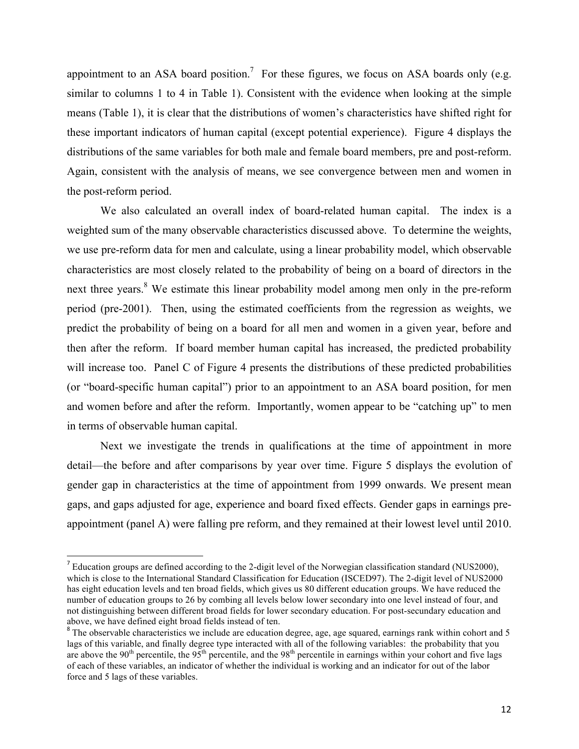appointment to an ASA board position.<sup>7</sup> For these figures, we focus on ASA boards only (e.g. similar to columns 1 to 4 in Table 1). Consistent with the evidence when looking at the simple means (Table 1), it is clear that the distributions of women's characteristics have shifted right for these important indicators of human capital (except potential experience). Figure 4 displays the distributions of the same variables for both male and female board members, pre and post-reform. Again, consistent with the analysis of means, we see convergence between men and women in the post-reform period.

We also calculated an overall index of board-related human capital. The index is a weighted sum of the many observable characteristics discussed above. To determine the weights, we use pre-reform data for men and calculate, using a linear probability model, which observable characteristics are most closely related to the probability of being on a board of directors in the next three years.<sup>8</sup> We estimate this linear probability model among men only in the pre-reform period (pre-2001). Then, using the estimated coefficients from the regression as weights, we predict the probability of being on a board for all men and women in a given year, before and then after the reform. If board member human capital has increased, the predicted probability will increase too. Panel C of Figure 4 presents the distributions of these predicted probabilities (or "board-specific human capital") prior to an appointment to an ASA board position, for men and women before and after the reform. Importantly, women appear to be "catching up" to men in terms of observable human capital.

Next we investigate the trends in qualifications at the time of appointment in more detail—the before and after comparisons by year over time. Figure 5 displays the evolution of gender gap in characteristics at the time of appointment from 1999 onwards. We present mean gaps, and gaps adjusted for age, experience and board fixed effects. Gender gaps in earnings preappointment (panel A) were falling pre reform, and they remained at their lowest level until 2010.

<u> 1989 - Johann Stein, marwolaethau a bh</u>

<sup>&</sup>lt;sup>7</sup> Education groups are defined according to the 2-digit level of the Norwegian classification standard (NUS2000), which is close to the International Standard Classification for Education (ISCED97). The 2-digit level of NUS2000 has eight education levels and ten broad fields, which gives us 80 different education groups. We have reduced the number of education groups to 26 by combing all levels below lower secondary into one level instead of four, and not distinguishing between different broad fields for lower secondary education. For post-secundary education and above, we have defined eight broad fields instead of ten.<br><sup>8</sup> The observable characteristics we include are education degree, age, age squared, earnings rank within cohort and 5

lags of this variable, and finally degree type interacted with all of the following variables: the probability that you are above the 90<sup>th</sup> percentile, the 95<sup>th</sup> percentile, and the 98<sup>th</sup> percentile in earnings within your cohort and five lags of each of these variables, an indicator of whether the individual is working and an indicator for out of the labor force and 5 lags of these variables.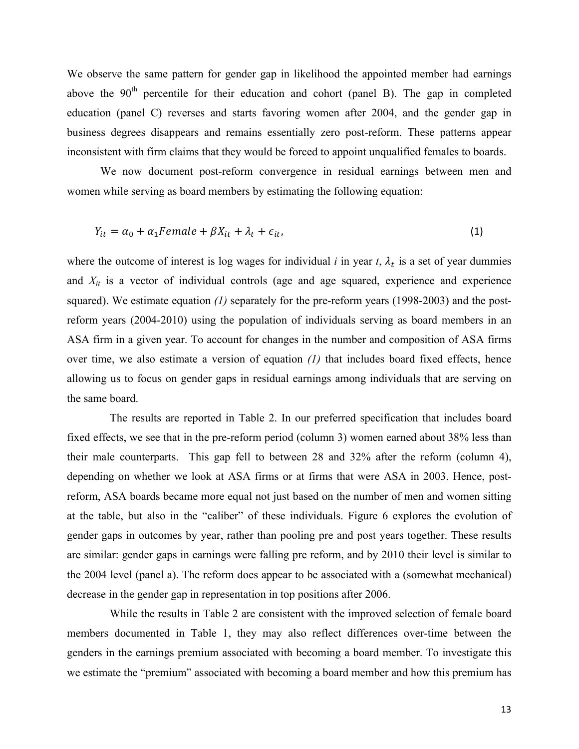We observe the same pattern for gender gap in likelihood the appointed member had earnings above the 90<sup>th</sup> percentile for their education and cohort (panel B). The gap in completed education (panel C) reverses and starts favoring women after 2004, and the gender gap in business degrees disappears and remains essentially zero post-reform. These patterns appear inconsistent with firm claims that they would be forced to appoint unqualified females to boards.

We now document post-reform convergence in residual earnings between men and women while serving as board members by estimating the following equation:

$$
Y_{it} = \alpha_0 + \alpha_1 Female + \beta X_{it} + \lambda_t + \epsilon_{it}, \qquad (1)
$$

where the outcome of interest is log wages for individual  $i$  in year  $t$ ,  $\lambda_t$  is a set of year dummies and *Xit* is a vector of individual controls (age and age squared, experience and experience squared). We estimate equation *(1)* separately for the pre-reform years (1998-2003) and the postreform years (2004-2010) using the population of individuals serving as board members in an ASA firm in a given year. To account for changes in the number and composition of ASA firms over time, we also estimate a version of equation *(1)* that includes board fixed effects, hence allowing us to focus on gender gaps in residual earnings among individuals that are serving on the same board.

The results are reported in Table 2. In our preferred specification that includes board fixed effects, we see that in the pre-reform period (column 3) women earned about 38% less than their male counterparts. This gap fell to between 28 and 32% after the reform (column 4), depending on whether we look at ASA firms or at firms that were ASA in 2003. Hence, postreform, ASA boards became more equal not just based on the number of men and women sitting at the table, but also in the "caliber" of these individuals. Figure 6 explores the evolution of gender gaps in outcomes by year, rather than pooling pre and post years together. These results are similar: gender gaps in earnings were falling pre reform, and by 2010 their level is similar to the 2004 level (panel a). The reform does appear to be associated with a (somewhat mechanical) decrease in the gender gap in representation in top positions after 2006.

While the results in Table 2 are consistent with the improved selection of female board members documented in Table 1, they may also reflect differences over-time between the genders in the earnings premium associated with becoming a board member. To investigate this we estimate the "premium" associated with becoming a board member and how this premium has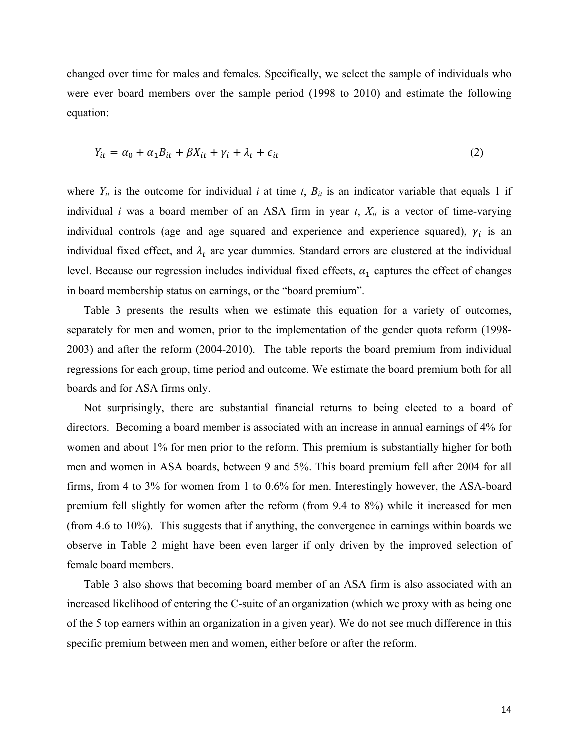changed over time for males and females. Specifically, we select the sample of individuals who were ever board members over the sample period (1998 to 2010) and estimate the following equation:

$$
Y_{it} = \alpha_0 + \alpha_1 B_{it} + \beta X_{it} + \gamma_i + \lambda_t + \epsilon_{it}
$$
\n<sup>(2)</sup>

where  $Y_{it}$  is the outcome for individual *i* at time *t*,  $B_{it}$  is an indicator variable that equals 1 if individual *i* was a board member of an ASA firm in year  $t$ ,  $X_{it}$  is a vector of time-varying individual controls (age and age squared and experience and experience squared),  $\gamma_i$  is an individual fixed effect, and  $\lambda_t$  are year dummies. Standard errors are clustered at the individual level. Because our regression includes individual fixed effects,  $\alpha_1$  captures the effect of changes in board membership status on earnings, or the "board premium".

Table 3 presents the results when we estimate this equation for a variety of outcomes, separately for men and women, prior to the implementation of the gender quota reform (1998- 2003) and after the reform (2004-2010). The table reports the board premium from individual regressions for each group, time period and outcome. We estimate the board premium both for all boards and for ASA firms only.

Not surprisingly, there are substantial financial returns to being elected to a board of directors. Becoming a board member is associated with an increase in annual earnings of 4% for women and about 1% for men prior to the reform. This premium is substantially higher for both men and women in ASA boards, between 9 and 5%. This board premium fell after 2004 for all firms, from 4 to 3% for women from 1 to 0.6% for men. Interestingly however, the ASA-board premium fell slightly for women after the reform (from 9.4 to 8%) while it increased for men (from 4.6 to 10%). This suggests that if anything, the convergence in earnings within boards we observe in Table 2 might have been even larger if only driven by the improved selection of female board members.

Table 3 also shows that becoming board member of an ASA firm is also associated with an increased likelihood of entering the C-suite of an organization (which we proxy with as being one of the 5 top earners within an organization in a given year). We do not see much difference in this specific premium between men and women, either before or after the reform.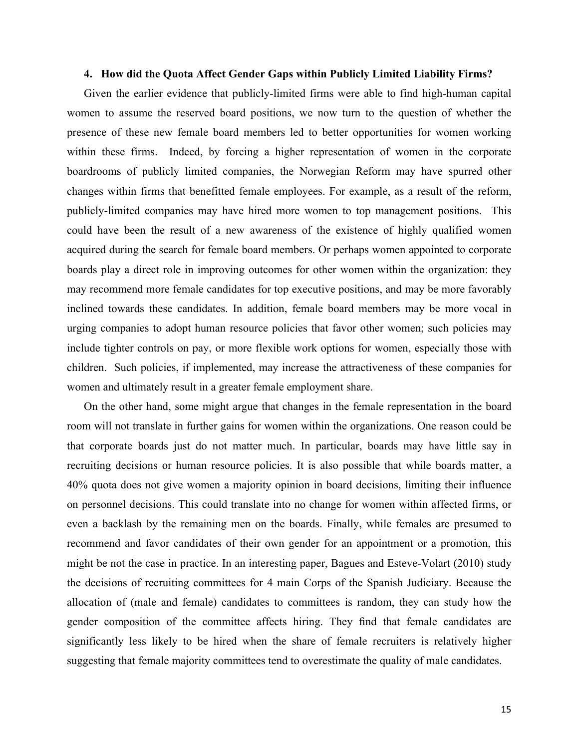#### **4. How did the Quota Affect Gender Gaps within Publicly Limited Liability Firms?**

Given the earlier evidence that publicly-limited firms were able to find high-human capital women to assume the reserved board positions, we now turn to the question of whether the presence of these new female board members led to better opportunities for women working within these firms. Indeed, by forcing a higher representation of women in the corporate boardrooms of publicly limited companies, the Norwegian Reform may have spurred other changes within firms that benefitted female employees. For example, as a result of the reform, publicly-limited companies may have hired more women to top management positions. This could have been the result of a new awareness of the existence of highly qualified women acquired during the search for female board members. Or perhaps women appointed to corporate boards play a direct role in improving outcomes for other women within the organization: they may recommend more female candidates for top executive positions, and may be more favorably inclined towards these candidates. In addition, female board members may be more vocal in urging companies to adopt human resource policies that favor other women; such policies may include tighter controls on pay, or more flexible work options for women, especially those with children. Such policies, if implemented, may increase the attractiveness of these companies for women and ultimately result in a greater female employment share.

On the other hand, some might argue that changes in the female representation in the board room will not translate in further gains for women within the organizations. One reason could be that corporate boards just do not matter much. In particular, boards may have little say in recruiting decisions or human resource policies. It is also possible that while boards matter, a 40% quota does not give women a majority opinion in board decisions, limiting their influence on personnel decisions. This could translate into no change for women within affected firms, or even a backlash by the remaining men on the boards. Finally, while females are presumed to recommend and favor candidates of their own gender for an appointment or a promotion, this might be not the case in practice. In an interesting paper, Bagues and Esteve-Volart (2010) study the decisions of recruiting committees for 4 main Corps of the Spanish Judiciary. Because the allocation of (male and female) candidates to committees is random, they can study how the gender composition of the committee affects hiring. They find that female candidates are significantly less likely to be hired when the share of female recruiters is relatively higher suggesting that female majority committees tend to overestimate the quality of male candidates.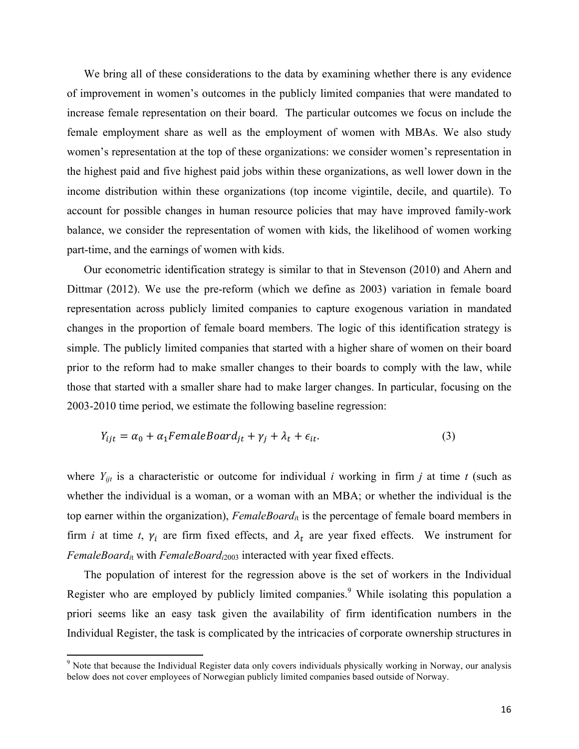We bring all of these considerations to the data by examining whether there is any evidence of improvement in women's outcomes in the publicly limited companies that were mandated to increase female representation on their board. The particular outcomes we focus on include the female employment share as well as the employment of women with MBAs. We also study women's representation at the top of these organizations: we consider women's representation in the highest paid and five highest paid jobs within these organizations, as well lower down in the income distribution within these organizations (top income vigintile, decile, and quartile). To account for possible changes in human resource policies that may have improved family-work balance, we consider the representation of women with kids, the likelihood of women working part-time, and the earnings of women with kids.

Our econometric identification strategy is similar to that in Stevenson (2010) and Ahern and Dittmar (2012). We use the pre-reform (which we define as 2003) variation in female board representation across publicly limited companies to capture exogenous variation in mandated changes in the proportion of female board members. The logic of this identification strategy is simple. The publicly limited companies that started with a higher share of women on their board prior to the reform had to make smaller changes to their boards to comply with the law, while those that started with a smaller share had to make larger changes. In particular, focusing on the 2003-2010 time period, we estimate the following baseline regression:

$$
Y_{ijt} = \alpha_0 + \alpha_1 FemaleBoard_{jt} + \gamma_j + \lambda_t + \epsilon_{it}.
$$
\n(3)

where  $Y_{ijt}$  is a characteristic or outcome for individual *i* working in firm *j* at time *t* (such as whether the individual is a woman, or a woman with an MBA; or whether the individual is the top earner within the organization), *FemaleBoardi*<sup>t</sup> is the percentage of female board members in firm *i* at time *t*,  $\gamma_i$  are firm fixed effects, and  $\lambda_t$  are year fixed effects. We instrument for *FemaleBoardi*<sup>t</sup> with *FemaleBoardi*<sup>2003</sup> interacted with year fixed effects.

The population of interest for the regression above is the set of workers in the Individual Register who are employed by publicly limited companies.<sup>9</sup> While isolating this population a priori seems like an easy task given the availability of firm identification numbers in the Individual Register, the task is complicated by the intricacies of corporate ownership structures in

<u> 1989 - Johann Stein, marwolaethau a bh</u>

<sup>&</sup>lt;sup>9</sup> Note that because the Individual Register data only covers individuals physically working in Norway, our analysis below does not cover employees of Norwegian publicly limited companies based outside of Norway.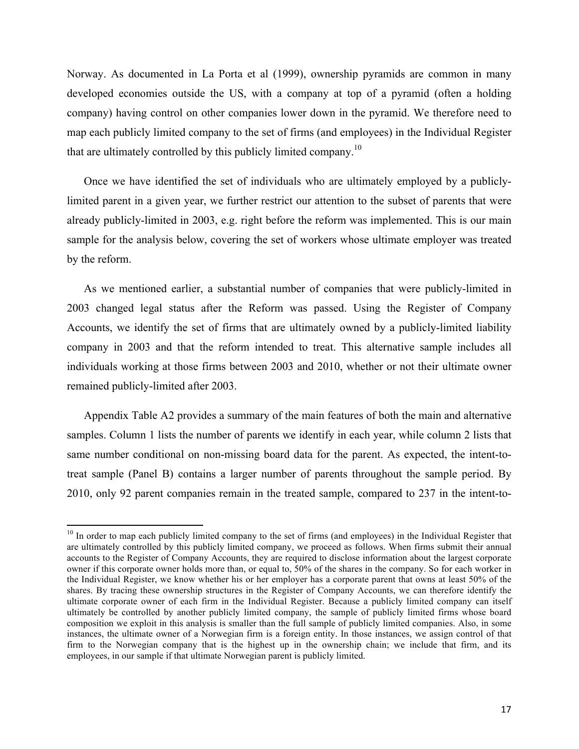Norway. As documented in La Porta et al (1999), ownership pyramids are common in many developed economies outside the US, with a company at top of a pyramid (often a holding company) having control on other companies lower down in the pyramid. We therefore need to map each publicly limited company to the set of firms (and employees) in the Individual Register that are ultimately controlled by this publicly limited company.<sup>10</sup>

Once we have identified the set of individuals who are ultimately employed by a publiclylimited parent in a given year, we further restrict our attention to the subset of parents that were already publicly-limited in 2003, e.g. right before the reform was implemented. This is our main sample for the analysis below, covering the set of workers whose ultimate employer was treated by the reform.

As we mentioned earlier, a substantial number of companies that were publicly-limited in 2003 changed legal status after the Reform was passed. Using the Register of Company Accounts, we identify the set of firms that are ultimately owned by a publicly-limited liability company in 2003 and that the reform intended to treat. This alternative sample includes all individuals working at those firms between 2003 and 2010, whether or not their ultimate owner remained publicly-limited after 2003.

Appendix Table A2 provides a summary of the main features of both the main and alternative samples. Column 1 lists the number of parents we identify in each year, while column 2 lists that same number conditional on non-missing board data for the parent. As expected, the intent-totreat sample (Panel B) contains a larger number of parents throughout the sample period. By 2010, only 92 parent companies remain in the treated sample, compared to 237 in the intent-to-

<u> 1989 - Johann Stein, marwolaethau a bh</u>

<sup>&</sup>lt;sup>10</sup> In order to map each publicly limited company to the set of firms (and employees) in the Individual Register that are ultimately controlled by this publicly limited company, we proceed as follows. When firms submit their annual accounts to the Register of Company Accounts, they are required to disclose information about the largest corporate owner if this corporate owner holds more than, or equal to, 50% of the shares in the company. So for each worker in the Individual Register, we know whether his or her employer has a corporate parent that owns at least 50% of the shares. By tracing these ownership structures in the Register of Company Accounts, we can therefore identify the ultimate corporate owner of each firm in the Individual Register. Because a publicly limited company can itself ultimately be controlled by another publicly limited company, the sample of publicly limited firms whose board composition we exploit in this analysis is smaller than the full sample of publicly limited companies. Also, in some instances, the ultimate owner of a Norwegian firm is a foreign entity. In those instances, we assign control of that firm to the Norwegian company that is the highest up in the ownership chain; we include that firm, and its employees, in our sample if that ultimate Norwegian parent is publicly limited.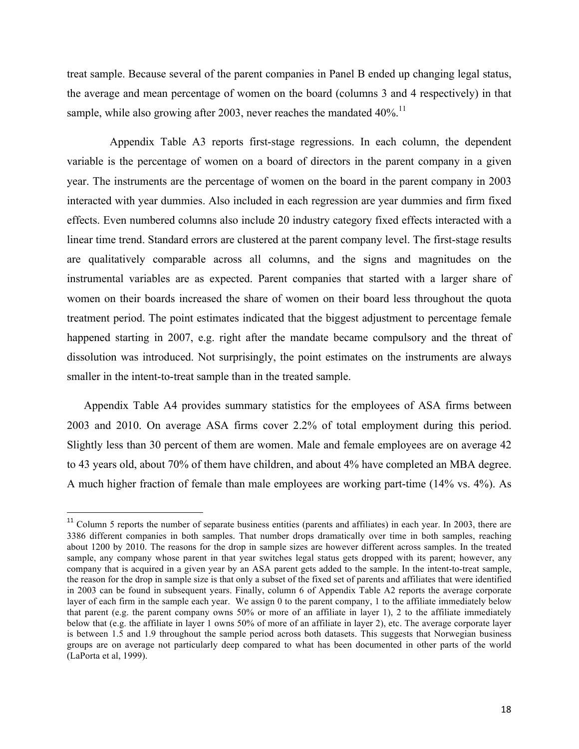treat sample. Because several of the parent companies in Panel B ended up changing legal status, the average and mean percentage of women on the board (columns 3 and 4 respectively) in that sample, while also growing after 2003, never reaches the mandated  $40\%$ <sup>11</sup>

Appendix Table A3 reports first-stage regressions. In each column, the dependent variable is the percentage of women on a board of directors in the parent company in a given year. The instruments are the percentage of women on the board in the parent company in 2003 interacted with year dummies. Also included in each regression are year dummies and firm fixed effects. Even numbered columns also include 20 industry category fixed effects interacted with a linear time trend. Standard errors are clustered at the parent company level. The first-stage results are qualitatively comparable across all columns, and the signs and magnitudes on the instrumental variables are as expected. Parent companies that started with a larger share of women on their boards increased the share of women on their board less throughout the quota treatment period. The point estimates indicated that the biggest adjustment to percentage female happened starting in 2007, e.g. right after the mandate became compulsory and the threat of dissolution was introduced. Not surprisingly, the point estimates on the instruments are always smaller in the intent-to-treat sample than in the treated sample.

Appendix Table A4 provides summary statistics for the employees of ASA firms between 2003 and 2010. On average ASA firms cover 2.2% of total employment during this period. Slightly less than 30 percent of them are women. Male and female employees are on average 42 to 43 years old, about 70% of them have children, and about 4% have completed an MBA degree. A much higher fraction of female than male employees are working part-time (14% vs. 4%). As

 

 $11$  Column 5 reports the number of separate business entities (parents and affiliates) in each year. In 2003, there are 3386 different companies in both samples. That number drops dramatically over time in both samples, reaching about 1200 by 2010. The reasons for the drop in sample sizes are however different across samples. In the treated sample, any company whose parent in that year switches legal status gets dropped with its parent; however, any company that is acquired in a given year by an ASA parent gets added to the sample. In the intent-to-treat sample, the reason for the drop in sample size is that only a subset of the fixed set of parents and affiliates that were identified in 2003 can be found in subsequent years. Finally, column 6 of Appendix Table A2 reports the average corporate layer of each firm in the sample each year. We assign 0 to the parent company, 1 to the affiliate immediately below that parent (e.g. the parent company owns  $50\%$  or more of an affiliate in layer 1), 2 to the affiliate immediately below that (e.g. the affiliate in layer 1 owns 50% of more of an affiliate in layer 2), etc. The average corporate layer is between 1.5 and 1.9 throughout the sample period across both datasets. This suggests that Norwegian business groups are on average not particularly deep compared to what has been documented in other parts of the world (LaPorta et al, 1999).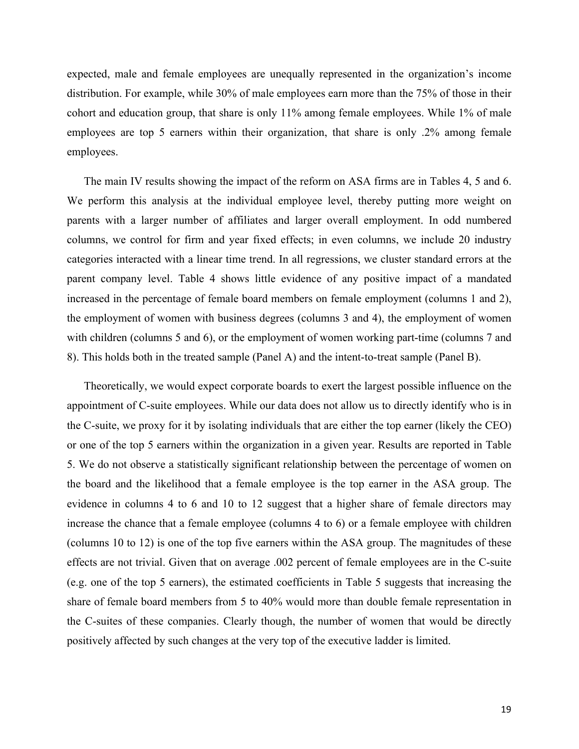expected, male and female employees are unequally represented in the organization's income distribution. For example, while 30% of male employees earn more than the 75% of those in their cohort and education group, that share is only 11% among female employees. While 1% of male employees are top 5 earners within their organization, that share is only .2% among female employees.

The main IV results showing the impact of the reform on ASA firms are in Tables 4, 5 and 6. We perform this analysis at the individual employee level, thereby putting more weight on parents with a larger number of affiliates and larger overall employment. In odd numbered columns, we control for firm and year fixed effects; in even columns, we include 20 industry categories interacted with a linear time trend. In all regressions, we cluster standard errors at the parent company level. Table 4 shows little evidence of any positive impact of a mandated increased in the percentage of female board members on female employment (columns 1 and 2), the employment of women with business degrees (columns 3 and 4), the employment of women with children (columns 5 and 6), or the employment of women working part-time (columns 7 and 8). This holds both in the treated sample (Panel A) and the intent-to-treat sample (Panel B).

Theoretically, we would expect corporate boards to exert the largest possible influence on the appointment of C-suite employees. While our data does not allow us to directly identify who is in the C-suite, we proxy for it by isolating individuals that are either the top earner (likely the CEO) or one of the top 5 earners within the organization in a given year. Results are reported in Table 5. We do not observe a statistically significant relationship between the percentage of women on the board and the likelihood that a female employee is the top earner in the ASA group. The evidence in columns 4 to 6 and 10 to 12 suggest that a higher share of female directors may increase the chance that a female employee (columns 4 to 6) or a female employee with children (columns 10 to 12) is one of the top five earners within the ASA group. The magnitudes of these effects are not trivial. Given that on average .002 percent of female employees are in the C-suite (e.g. one of the top 5 earners), the estimated coefficients in Table 5 suggests that increasing the share of female board members from 5 to 40% would more than double female representation in the C-suites of these companies. Clearly though, the number of women that would be directly positively affected by such changes at the very top of the executive ladder is limited.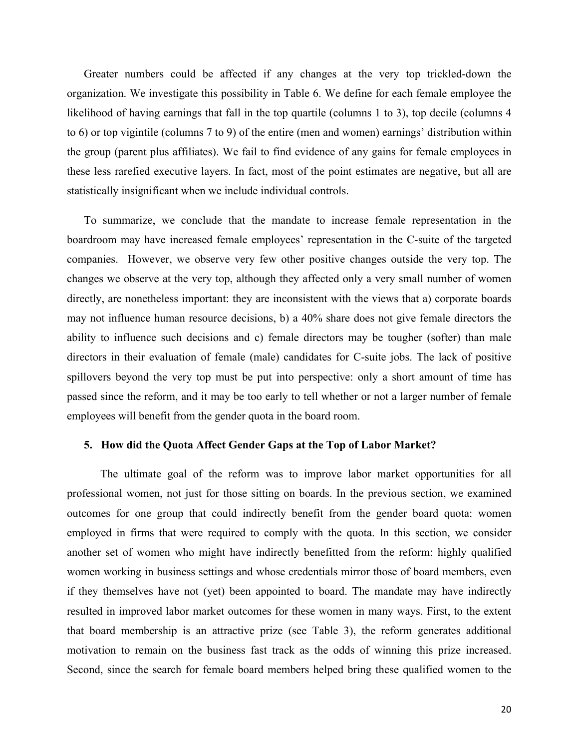Greater numbers could be affected if any changes at the very top trickled-down the organization. We investigate this possibility in Table 6. We define for each female employee the likelihood of having earnings that fall in the top quartile (columns 1 to 3), top decile (columns 4 to 6) or top vigintile (columns 7 to 9) of the entire (men and women) earnings' distribution within the group (parent plus affiliates). We fail to find evidence of any gains for female employees in these less rarefied executive layers. In fact, most of the point estimates are negative, but all are statistically insignificant when we include individual controls.

To summarize, we conclude that the mandate to increase female representation in the boardroom may have increased female employees' representation in the C-suite of the targeted companies. However, we observe very few other positive changes outside the very top. The changes we observe at the very top, although they affected only a very small number of women directly, are nonetheless important: they are inconsistent with the views that a) corporate boards may not influence human resource decisions, b) a 40% share does not give female directors the ability to influence such decisions and c) female directors may be tougher (softer) than male directors in their evaluation of female (male) candidates for C-suite jobs. The lack of positive spillovers beyond the very top must be put into perspective: only a short amount of time has passed since the reform, and it may be too early to tell whether or not a larger number of female employees will benefit from the gender quota in the board room.

#### **5. How did the Quota Affect Gender Gaps at the Top of Labor Market?**

The ultimate goal of the reform was to improve labor market opportunities for all professional women, not just for those sitting on boards. In the previous section, we examined outcomes for one group that could indirectly benefit from the gender board quota: women employed in firms that were required to comply with the quota. In this section, we consider another set of women who might have indirectly benefitted from the reform: highly qualified women working in business settings and whose credentials mirror those of board members, even if they themselves have not (yet) been appointed to board. The mandate may have indirectly resulted in improved labor market outcomes for these women in many ways. First, to the extent that board membership is an attractive prize (see Table 3), the reform generates additional motivation to remain on the business fast track as the odds of winning this prize increased. Second, since the search for female board members helped bring these qualified women to the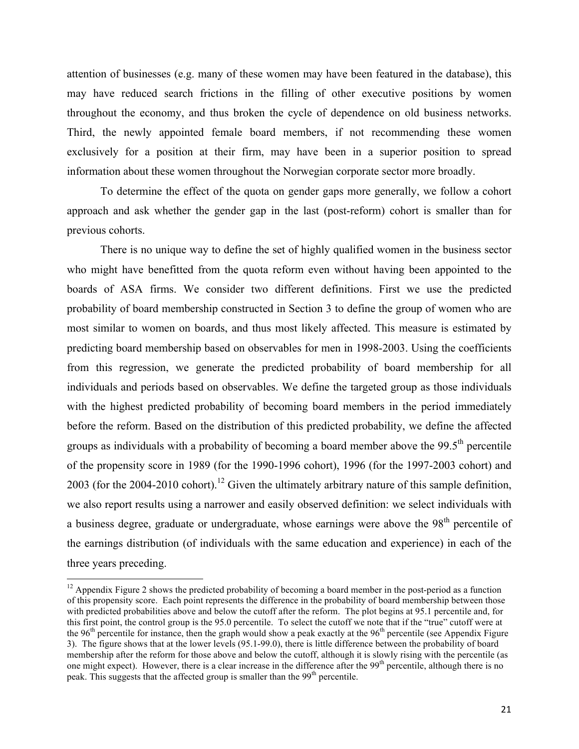attention of businesses (e.g. many of these women may have been featured in the database), this may have reduced search frictions in the filling of other executive positions by women throughout the economy, and thus broken the cycle of dependence on old business networks. Third, the newly appointed female board members, if not recommending these women exclusively for a position at their firm, may have been in a superior position to spread information about these women throughout the Norwegian corporate sector more broadly.

To determine the effect of the quota on gender gaps more generally, we follow a cohort approach and ask whether the gender gap in the last (post-reform) cohort is smaller than for previous cohorts.

There is no unique way to define the set of highly qualified women in the business sector who might have benefitted from the quota reform even without having been appointed to the boards of ASA firms. We consider two different definitions. First we use the predicted probability of board membership constructed in Section 3 to define the group of women who are most similar to women on boards, and thus most likely affected. This measure is estimated by predicting board membership based on observables for men in 1998-2003. Using the coefficients from this regression, we generate the predicted probability of board membership for all individuals and periods based on observables. We define the targeted group as those individuals with the highest predicted probability of becoming board members in the period immediately before the reform. Based on the distribution of this predicted probability, we define the affected groups as individuals with a probability of becoming a board member above the  $99.5<sup>th</sup>$  percentile of the propensity score in 1989 (for the 1990-1996 cohort), 1996 (for the 1997-2003 cohort) and 2003 (for the 2004-2010 cohort).<sup>12</sup> Given the ultimately arbitrary nature of this sample definition, we also report results using a narrower and easily observed definition: we select individuals with a business degree, graduate or undergraduate, whose earnings were above the  $98<sup>th</sup>$  percentile of the earnings distribution (of individuals with the same education and experience) in each of the three years preceding.

<u> 1989 - Johann Stein, marwolaethau a bh</u>

 $12$  Appendix Figure 2 shows the predicted probability of becoming a board member in the post-period as a function of this propensity score. Each point represents the difference in the probability of board membership between those with predicted probabilities above and below the cutoff after the reform. The plot begins at 95.1 percentile and, for this first point, the control group is the 95.0 percentile. To select the cutoff we note that if the "true" cutoff were at the  $96<sup>th</sup>$  percentile for instance, then the graph would show a peak exactly at the  $96<sup>th</sup>$  percentile (see Appendix Figure 3). The figure shows that at the lower levels (95.1-99.0), there is little difference between the probability of board membership after the reform for those above and below the cutoff, although it is slowly rising with the percentile (as one might expect). However, there is a clear increase in the difference after the 99<sup>th</sup> percentile, although there is no peak. This suggests that the affected group is smaller than the  $99<sup>th</sup>$  percentile.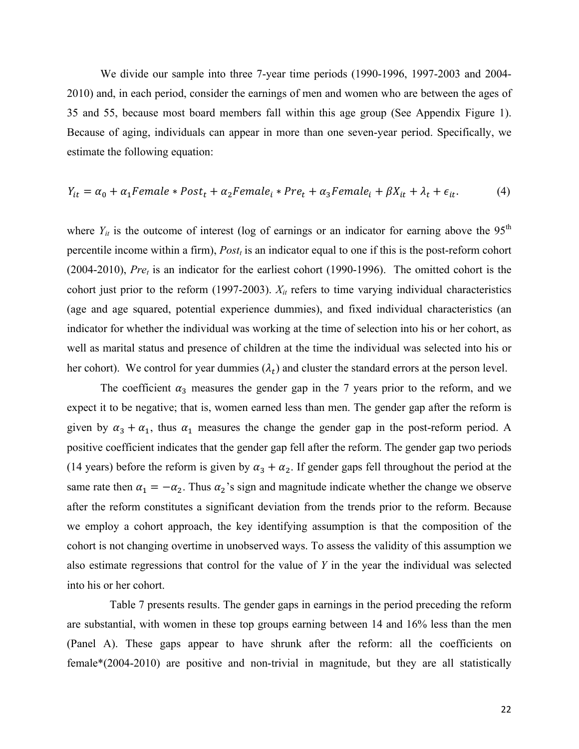We divide our sample into three 7-year time periods (1990-1996, 1997-2003 and 2004- 2010) and, in each period, consider the earnings of men and women who are between the ages of 35 and 55, because most board members fall within this age group (See Appendix Figure 1). Because of aging, individuals can appear in more than one seven-year period. Specifically, we estimate the following equation:

$$
Y_{it} = \alpha_0 + \alpha_1 Female * Post_t + \alpha_2 Female_t * Pre_t + \alpha_3 Female_t + \beta X_{it} + \lambda_t + \epsilon_{it}.
$$
 (4)

where  $Y_{it}$  is the outcome of interest (log of earnings or an indicator for earning above the 95<sup>th</sup> percentile income within a firm), *Postt* is an indicator equal to one if this is the post-reform cohort (2004-2010),  $Pre<sub>t</sub>$  is an indicator for the earliest cohort (1990-1996). The omitted cohort is the cohort just prior to the reform (1997-2003).  $X_{it}$  refers to time varying individual characteristics (age and age squared, potential experience dummies), and fixed individual characteristics (an indicator for whether the individual was working at the time of selection into his or her cohort, as well as marital status and presence of children at the time the individual was selected into his or her cohort). We control for year dummies  $(\lambda_t)$  and cluster the standard errors at the person level.

The coefficient  $\alpha_3$  measures the gender gap in the 7 years prior to the reform, and we expect it to be negative; that is, women earned less than men. The gender gap after the reform is given by  $\alpha_3 + \alpha_1$ , thus  $\alpha_1$  measures the change the gender gap in the post-reform period. A positive coefficient indicates that the gender gap fell after the reform. The gender gap two periods (14 years) before the reform is given by  $\alpha_3 + \alpha_2$ . If gender gaps fell throughout the period at the same rate then  $\alpha_1 = -\alpha_2$ . Thus  $\alpha_2$ 's sign and magnitude indicate whether the change we observe after the reform constitutes a significant deviation from the trends prior to the reform. Because we employ a cohort approach, the key identifying assumption is that the composition of the cohort is not changing overtime in unobserved ways. To assess the validity of this assumption we also estimate regressions that control for the value of *Y* in the year the individual was selected into his or her cohort.

Table 7 presents results. The gender gaps in earnings in the period preceding the reform are substantial, with women in these top groups earning between 14 and 16% less than the men (Panel A). These gaps appear to have shrunk after the reform: all the coefficients on female\*(2004-2010) are positive and non-trivial in magnitude, but they are all statistically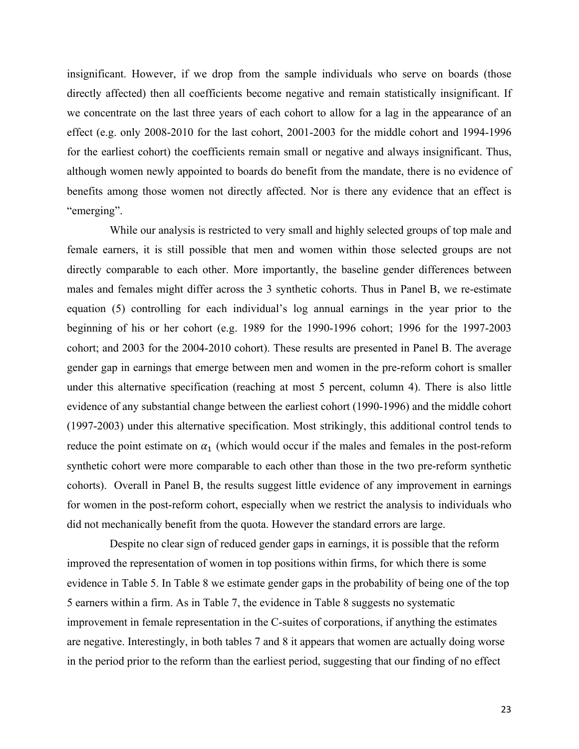insignificant. However, if we drop from the sample individuals who serve on boards (those directly affected) then all coefficients become negative and remain statistically insignificant. If we concentrate on the last three years of each cohort to allow for a lag in the appearance of an effect (e.g. only 2008-2010 for the last cohort, 2001-2003 for the middle cohort and 1994-1996 for the earliest cohort) the coefficients remain small or negative and always insignificant. Thus, although women newly appointed to boards do benefit from the mandate, there is no evidence of benefits among those women not directly affected. Nor is there any evidence that an effect is "emerging".

While our analysis is restricted to very small and highly selected groups of top male and female earners, it is still possible that men and women within those selected groups are not directly comparable to each other. More importantly, the baseline gender differences between males and females might differ across the 3 synthetic cohorts. Thus in Panel B, we re-estimate equation (5) controlling for each individual's log annual earnings in the year prior to the beginning of his or her cohort (e.g. 1989 for the 1990-1996 cohort; 1996 for the 1997-2003 cohort; and 2003 for the 2004-2010 cohort). These results are presented in Panel B. The average gender gap in earnings that emerge between men and women in the pre-reform cohort is smaller under this alternative specification (reaching at most 5 percent, column 4). There is also little evidence of any substantial change between the earliest cohort (1990-1996) and the middle cohort (1997-2003) under this alternative specification. Most strikingly, this additional control tends to reduce the point estimate on  $\alpha_1$  (which would occur if the males and females in the post-reform synthetic cohort were more comparable to each other than those in the two pre-reform synthetic cohorts). Overall in Panel B, the results suggest little evidence of any improvement in earnings for women in the post-reform cohort, especially when we restrict the analysis to individuals who did not mechanically benefit from the quota. However the standard errors are large.

Despite no clear sign of reduced gender gaps in earnings, it is possible that the reform improved the representation of women in top positions within firms, for which there is some evidence in Table 5. In Table 8 we estimate gender gaps in the probability of being one of the top 5 earners within a firm. As in Table 7, the evidence in Table 8 suggests no systematic improvement in female representation in the C-suites of corporations, if anything the estimates are negative. Interestingly, in both tables 7 and 8 it appears that women are actually doing worse in the period prior to the reform than the earliest period, suggesting that our finding of no effect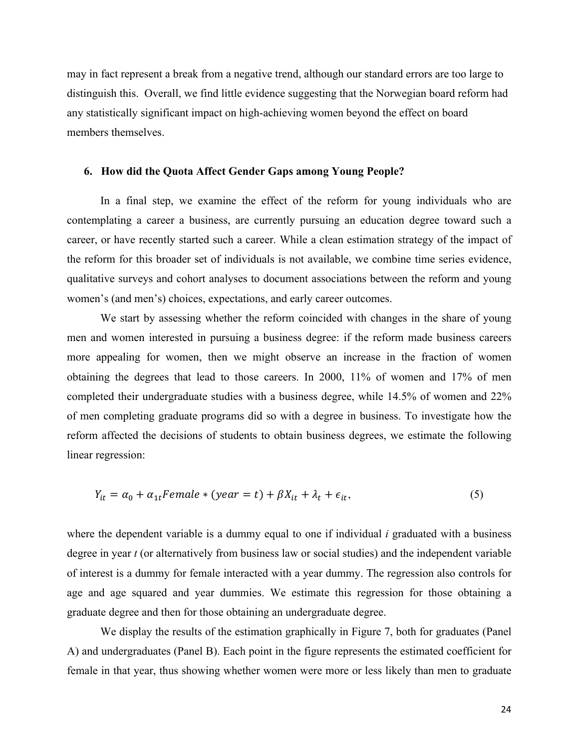may in fact represent a break from a negative trend, although our standard errors are too large to distinguish this. Overall, we find little evidence suggesting that the Norwegian board reform had any statistically significant impact on high-achieving women beyond the effect on board members themselves.

#### **6. How did the Quota Affect Gender Gaps among Young People?**

In a final step, we examine the effect of the reform for young individuals who are contemplating a career a business, are currently pursuing an education degree toward such a career, or have recently started such a career. While a clean estimation strategy of the impact of the reform for this broader set of individuals is not available, we combine time series evidence, qualitative surveys and cohort analyses to document associations between the reform and young women's (and men's) choices, expectations, and early career outcomes.

We start by assessing whether the reform coincided with changes in the share of young men and women interested in pursuing a business degree: if the reform made business careers more appealing for women, then we might observe an increase in the fraction of women obtaining the degrees that lead to those careers. In 2000, 11% of women and 17% of men completed their undergraduate studies with a business degree, while 14.5% of women and 22% of men completing graduate programs did so with a degree in business. To investigate how the reform affected the decisions of students to obtain business degrees, we estimate the following linear regression:

$$
Y_{it} = \alpha_0 + \alpha_{1t} \text{Female} * (\text{year} = t) + \beta X_{it} + \lambda_t + \epsilon_{it}, \tag{5}
$$

where the dependent variable is a dummy equal to one if individual *i* graduated with a business degree in year *t* (or alternatively from business law or social studies) and the independent variable of interest is a dummy for female interacted with a year dummy. The regression also controls for age and age squared and year dummies. We estimate this regression for those obtaining a graduate degree and then for those obtaining an undergraduate degree.

We display the results of the estimation graphically in Figure 7, both for graduates (Panel A) and undergraduates (Panel B). Each point in the figure represents the estimated coefficient for female in that year, thus showing whether women were more or less likely than men to graduate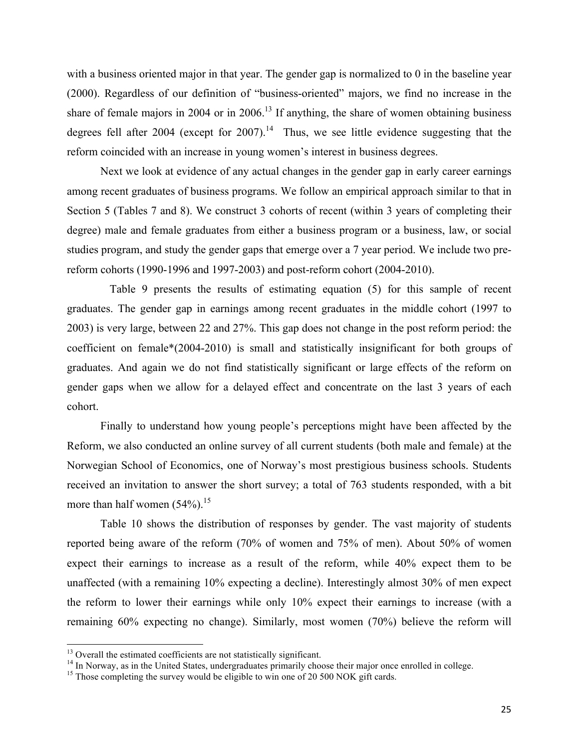with a business oriented major in that year. The gender gap is normalized to 0 in the baseline year (2000). Regardless of our definition of "business-oriented" majors, we find no increase in the share of female majors in 2004 or in 2006.<sup>13</sup> If anything, the share of women obtaining business degrees fell after 2004 (except for 2007).<sup>14</sup> Thus, we see little evidence suggesting that the reform coincided with an increase in young women's interest in business degrees.

Next we look at evidence of any actual changes in the gender gap in early career earnings among recent graduates of business programs. We follow an empirical approach similar to that in Section 5 (Tables 7 and 8). We construct 3 cohorts of recent (within 3 years of completing their degree) male and female graduates from either a business program or a business, law, or social studies program, and study the gender gaps that emerge over a 7 year period. We include two prereform cohorts (1990-1996 and 1997-2003) and post-reform cohort (2004-2010).

Table 9 presents the results of estimating equation (5) for this sample of recent graduates. The gender gap in earnings among recent graduates in the middle cohort (1997 to 2003) is very large, between 22 and 27%. This gap does not change in the post reform period: the coefficient on female\*(2004-2010) is small and statistically insignificant for both groups of graduates. And again we do not find statistically significant or large effects of the reform on gender gaps when we allow for a delayed effect and concentrate on the last 3 years of each cohort.

Finally to understand how young people's perceptions might have been affected by the Reform, we also conducted an online survey of all current students (both male and female) at the Norwegian School of Economics, one of Norway's most prestigious business schools. Students received an invitation to answer the short survey; a total of 763 students responded, with a bit more than half women  $(54\%)$ .<sup>15</sup>

Table 10 shows the distribution of responses by gender. The vast majority of students reported being aware of the reform (70% of women and 75% of men). About 50% of women expect their earnings to increase as a result of the reform, while 40% expect them to be unaffected (with a remaining 10% expecting a decline). Interestingly almost 30% of men expect the reform to lower their earnings while only 10% expect their earnings to increase (with a remaining 60% expecting no change). Similarly, most women (70%) believe the reform will

<sup>&</sup>lt;sup>13</sup> Overall the estimated coefficients are not statistically significant.

 $^{14}$  In Norway, as in the United States, undergraduates primarily choose their major once enrolled in college.<br><sup>15</sup> Those completing the survey would be eligible to win one of 20 500 NOK gift cards.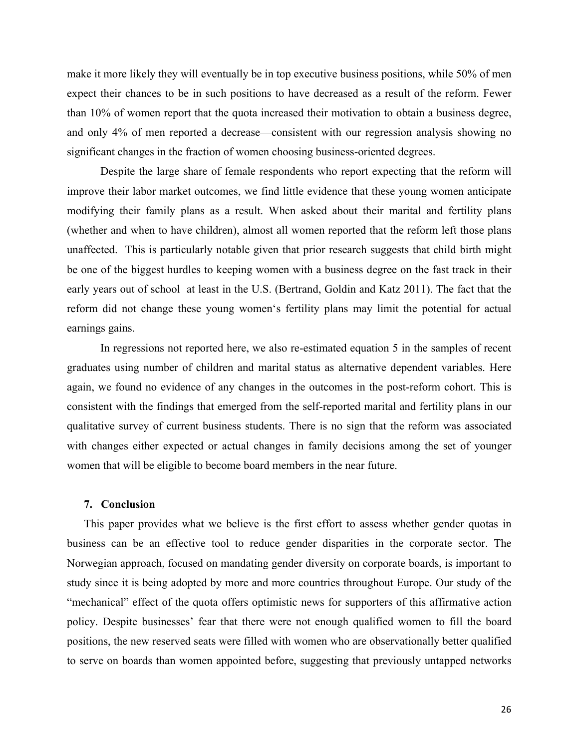make it more likely they will eventually be in top executive business positions, while 50% of men expect their chances to be in such positions to have decreased as a result of the reform. Fewer than 10% of women report that the quota increased their motivation to obtain a business degree, and only 4% of men reported a decrease—consistent with our regression analysis showing no significant changes in the fraction of women choosing business-oriented degrees.

Despite the large share of female respondents who report expecting that the reform will improve their labor market outcomes, we find little evidence that these young women anticipate modifying their family plans as a result. When asked about their marital and fertility plans (whether and when to have children), almost all women reported that the reform left those plans unaffected. This is particularly notable given that prior research suggests that child birth might be one of the biggest hurdles to keeping women with a business degree on the fast track in their early years out of school at least in the U.S. (Bertrand, Goldin and Katz 2011). The fact that the reform did not change these young women's fertility plans may limit the potential for actual earnings gains.

In regressions not reported here, we also re-estimated equation 5 in the samples of recent graduates using number of children and marital status as alternative dependent variables. Here again, we found no evidence of any changes in the outcomes in the post-reform cohort. This is consistent with the findings that emerged from the self-reported marital and fertility plans in our qualitative survey of current business students. There is no sign that the reform was associated with changes either expected or actual changes in family decisions among the set of younger women that will be eligible to become board members in the near future.

#### **7. Conclusion**

This paper provides what we believe is the first effort to assess whether gender quotas in business can be an effective tool to reduce gender disparities in the corporate sector. The Norwegian approach, focused on mandating gender diversity on corporate boards, is important to study since it is being adopted by more and more countries throughout Europe. Our study of the "mechanical" effect of the quota offers optimistic news for supporters of this affirmative action policy. Despite businesses' fear that there were not enough qualified women to fill the board positions, the new reserved seats were filled with women who are observationally better qualified to serve on boards than women appointed before, suggesting that previously untapped networks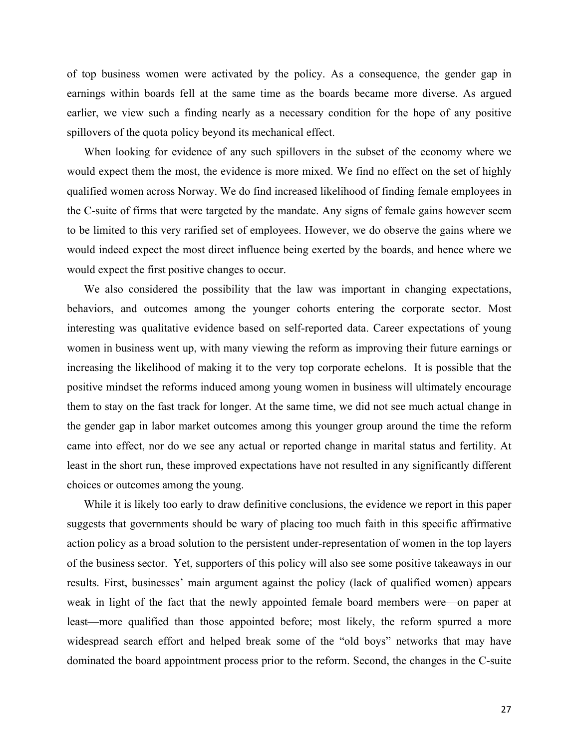of top business women were activated by the policy. As a consequence, the gender gap in earnings within boards fell at the same time as the boards became more diverse. As argued earlier, we view such a finding nearly as a necessary condition for the hope of any positive spillovers of the quota policy beyond its mechanical effect.

When looking for evidence of any such spillovers in the subset of the economy where we would expect them the most, the evidence is more mixed. We find no effect on the set of highly qualified women across Norway. We do find increased likelihood of finding female employees in the C-suite of firms that were targeted by the mandate. Any signs of female gains however seem to be limited to this very rarified set of employees. However, we do observe the gains where we would indeed expect the most direct influence being exerted by the boards, and hence where we would expect the first positive changes to occur.

We also considered the possibility that the law was important in changing expectations, behaviors, and outcomes among the younger cohorts entering the corporate sector. Most interesting was qualitative evidence based on self-reported data. Career expectations of young women in business went up, with many viewing the reform as improving their future earnings or increasing the likelihood of making it to the very top corporate echelons. It is possible that the positive mindset the reforms induced among young women in business will ultimately encourage them to stay on the fast track for longer. At the same time, we did not see much actual change in the gender gap in labor market outcomes among this younger group around the time the reform came into effect, nor do we see any actual or reported change in marital status and fertility. At least in the short run, these improved expectations have not resulted in any significantly different choices or outcomes among the young.

While it is likely too early to draw definitive conclusions, the evidence we report in this paper suggests that governments should be wary of placing too much faith in this specific affirmative action policy as a broad solution to the persistent under-representation of women in the top layers of the business sector. Yet, supporters of this policy will also see some positive takeaways in our results. First, businesses' main argument against the policy (lack of qualified women) appears weak in light of the fact that the newly appointed female board members were—on paper at least—more qualified than those appointed before; most likely, the reform spurred a more widespread search effort and helped break some of the "old boys" networks that may have dominated the board appointment process prior to the reform. Second, the changes in the C-suite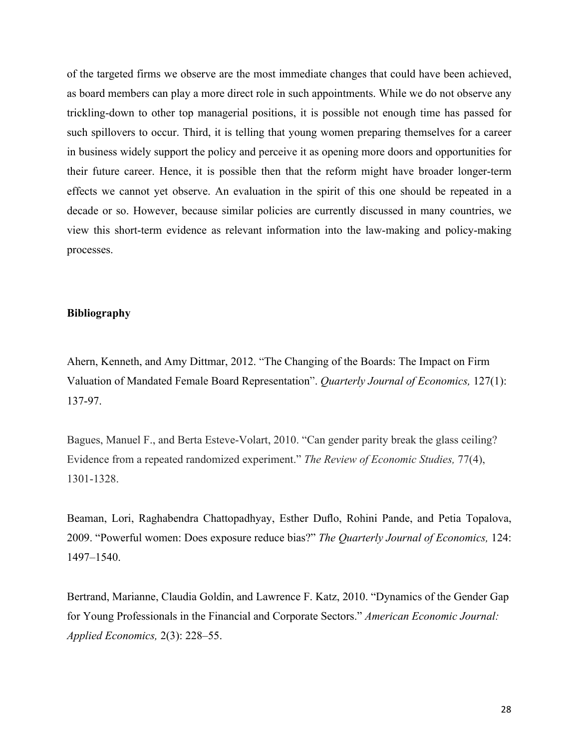of the targeted firms we observe are the most immediate changes that could have been achieved, as board members can play a more direct role in such appointments. While we do not observe any trickling-down to other top managerial positions, it is possible not enough time has passed for such spillovers to occur. Third, it is telling that young women preparing themselves for a career in business widely support the policy and perceive it as opening more doors and opportunities for their future career. Hence, it is possible then that the reform might have broader longer-term effects we cannot yet observe. An evaluation in the spirit of this one should be repeated in a decade or so. However, because similar policies are currently discussed in many countries, we view this short-term evidence as relevant information into the law-making and policy-making processes.

#### **Bibliography**

Ahern, Kenneth, and Amy Dittmar, 2012. "The Changing of the Boards: The Impact on Firm Valuation of Mandated Female Board Representation". *Quarterly Journal of Economics,* 127(1): 137-97.

Bagues, Manuel F., and Berta Esteve-Volart, 2010. "Can gender parity break the glass ceiling? Evidence from a repeated randomized experiment." *The Review of Economic Studies,* 77(4), 1301-1328.

Beaman, Lori, Raghabendra Chattopadhyay, Esther Duflo, Rohini Pande, and Petia Topalova, 2009. "Powerful women: Does exposure reduce bias?" *The Quarterly Journal of Economics,* 124: 1497–1540.

Bertrand, Marianne, Claudia Goldin, and Lawrence F. Katz, 2010. "Dynamics of the Gender Gap for Young Professionals in the Financial and Corporate Sectors." *American Economic Journal: Applied Economics,* 2(3): 228–55.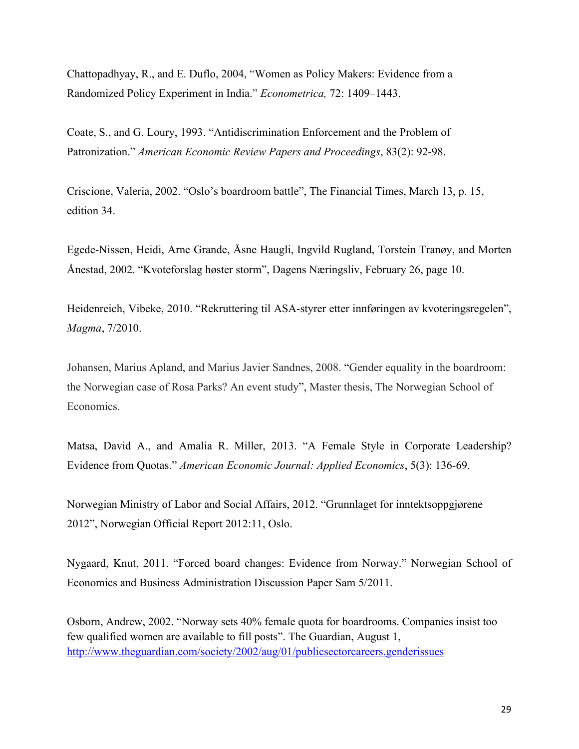Chattopadhyay, R., and E. Duflo, 2004, "Women as Policy Makers: Evidence from a Randomized Policy Experiment in India." *Econometrica,* 72: 1409–1443.

Coate, S., and G. Loury, 1993. "Antidiscrimination Enforcement and the Problem of Patronization." *American Economic Review Papers and Proceedings*, 83(2): 92-98.

Criscione, Valeria, 2002. "Oslo's boardroom battle", The Financial Times, March 13, p. 15, edition 34.

Egede-Nissen, Heidi, Arne Grande, Åsne Haugli, Ingvild Rugland, Torstein Tranøy, and Morten Ånestad, 2002. "Kvoteforslag høster storm", Dagens Næringsliv, February 26, page 10.

Heidenreich, Vibeke, 2010. "Rekruttering til ASA-styrer etter innføringen av kvoteringsregelen", *Magma*, 7/2010.

Johansen, Marius Apland, and Marius Javier Sandnes, 2008. "Gender equality in the boardroom: the Norwegian case of Rosa Parks? An event study", Master thesis, The Norwegian School of Economics.

Matsa, David A., and Amalia R. Miller, 2013. "A Female Style in Corporate Leadership? Evidence from Quotas." *American Economic Journal: Applied Economics*, 5(3): 136-69.

Norwegian Ministry of Labor and Social Affairs, 2012. "Grunnlaget for inntektsoppgjørene 2012", Norwegian Official Report 2012:11, Oslo.

Nygaard, Knut, 2011. "Forced board changes: Evidence from Norway." Norwegian School of Economics and Business Administration Discussion Paper Sam 5/2011.

Osborn, Andrew, 2002. "Norway sets 40% female quota for boardrooms. Companies insist too few qualified women are available to fill posts". The Guardian, August 1, http://www.theguardian.com/society/2002/aug/01/publicsectorcareers.genderissues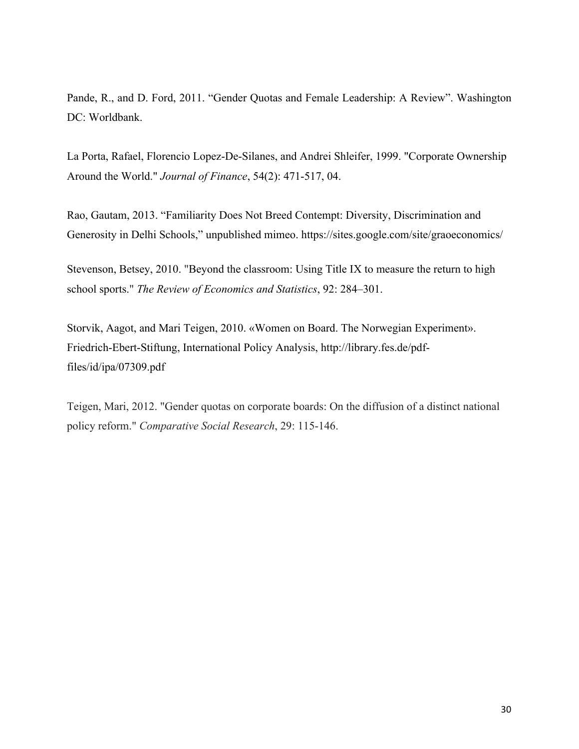Pande, R., and D. Ford, 2011. "Gender Quotas and Female Leadership: A Review". Washington DC: Worldbank.

La Porta, Rafael, Florencio Lopez-De-Silanes, and Andrei Shleifer, 1999. "Corporate Ownership Around the World." *Journal of Finance*, 54(2): 471-517, 04.

Rao, Gautam, 2013. "Familiarity Does Not Breed Contempt: Diversity, Discrimination and Generosity in Delhi Schools," unpublished mimeo. https://sites.google.com/site/graoeconomics/

Stevenson, Betsey, 2010. "Beyond the classroom: Using Title IX to measure the return to high school sports." *The Review of Economics and Statistics*, 92: 284–301.

Storvik, Aagot, and Mari Teigen, 2010. «Women on Board. The Norwegian Experiment». Friedrich-Ebert-Stiftung, International Policy Analysis, http://library.fes.de/pdffiles/id/ipa/07309.pdf

Teigen, Mari, 2012. "Gender quotas on corporate boards: On the diffusion of a distinct national policy reform." *Comparative Social Research*, 29: 115-146.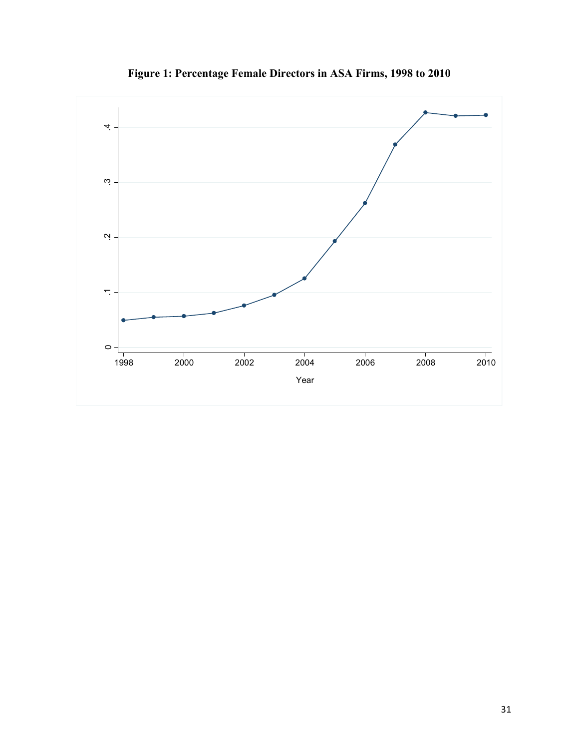

**Figure 1: Percentage Female Directors in ASA Firms, 1998 to 2010**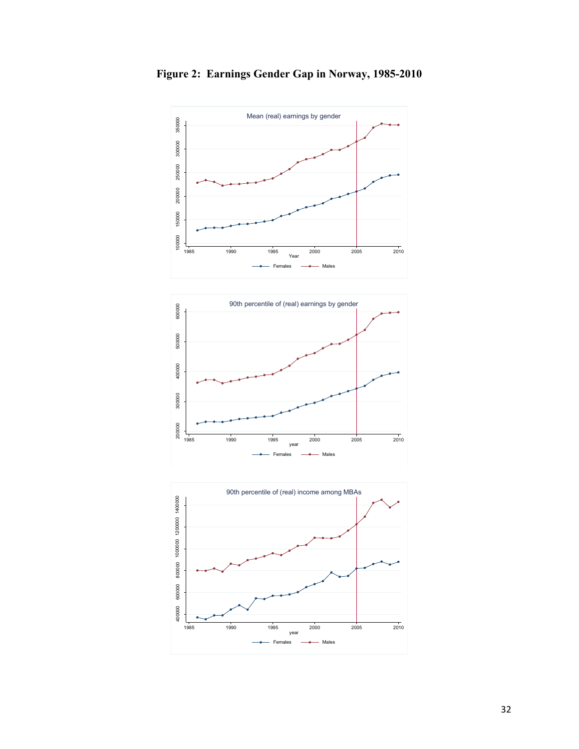

**Figure 2: Earnings Gender Gap in Norway, 1985-2010**



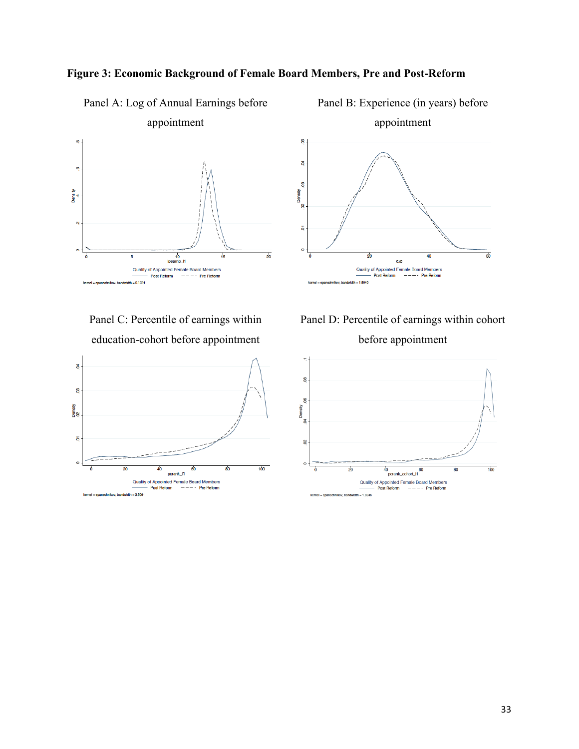

Panel A: Log of Annual Earnings before

#### **Figure 3: Economic Background of Female Board Members, Pre and Post-Reform**

Panel C: Percentile of earnings within education-cohort before appointment



appointment 8 8 g Density<br>.02  $\overline{\mathbf{e}}$  $\circ$  $\overline{60}$ 9ł 40 exp Quality of Appointed Female Board Members **Post Reform** -- Pre Reform

Panel B: Experience (in years) before

Panel D: Percentile of earnings within cohort before appointment

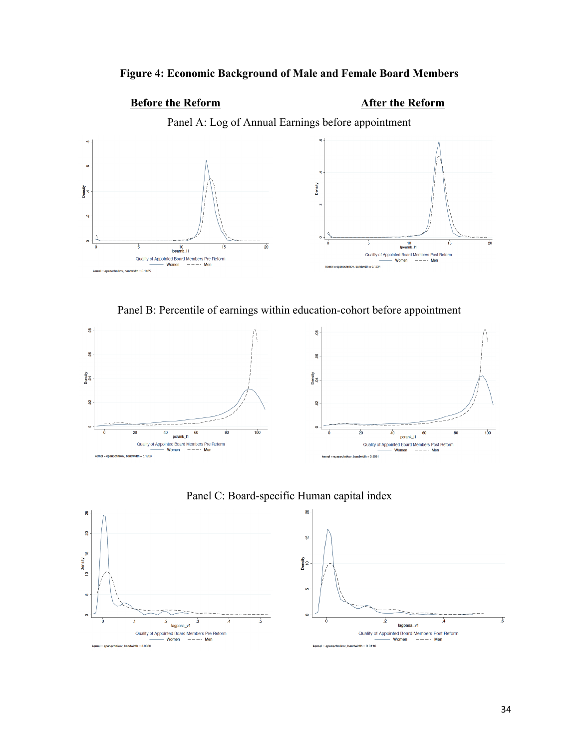### **Figure 4: Economic Background of Male and Female Board Members**

## **Before the Reform After the Reform**

Panel A: Log of Annual Earnings before appointment



Panel B: Percentile of earnings within education-cohort before appointment





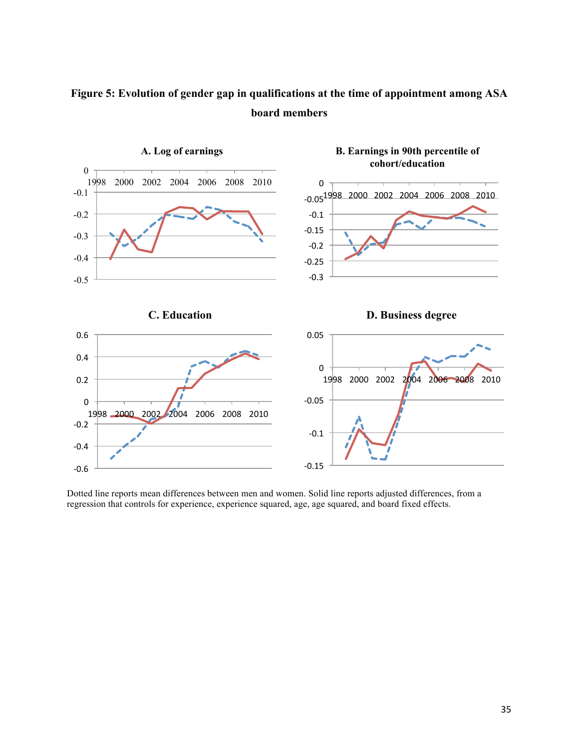

## **Figure 5: Evolution of gender gap in qualifications at the time of appointment among ASA board members**

Dotted line reports mean differences between men and women. Solid line reports adjusted differences, from a regression that controls for experience, experience squared, age, age squared, and board fixed effects.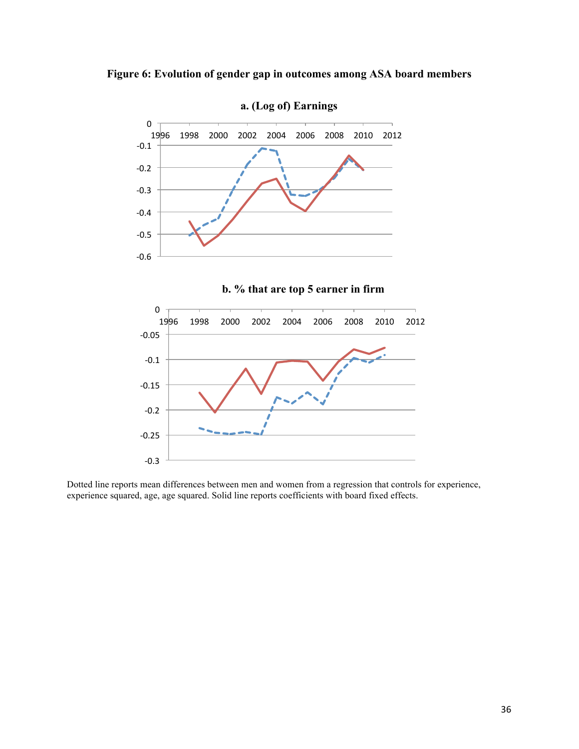



**b. % that are top 5 earner in firm** 



Dotted line reports mean differences between men and women from a regression that controls for experience, experience squared, age, age squared. Solid line reports coefficients with board fixed effects.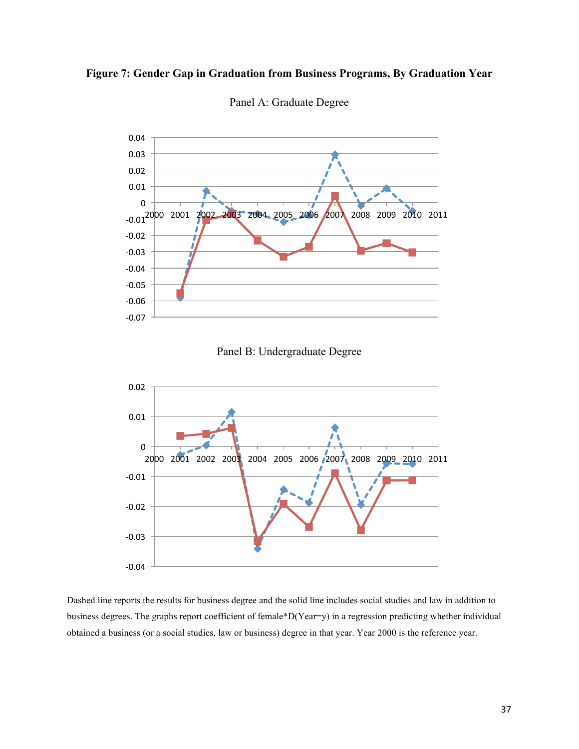



Panel A: Graduate Degree





Dashed line reports the results for business degree and the solid line includes social studies and law in addition to business degrees. The graphs report coefficient of female\*D(Year=y) in a regression predicting whether individual obtained a business (or a social studies, law or business) degree in that year. Year 2000 is the reference year.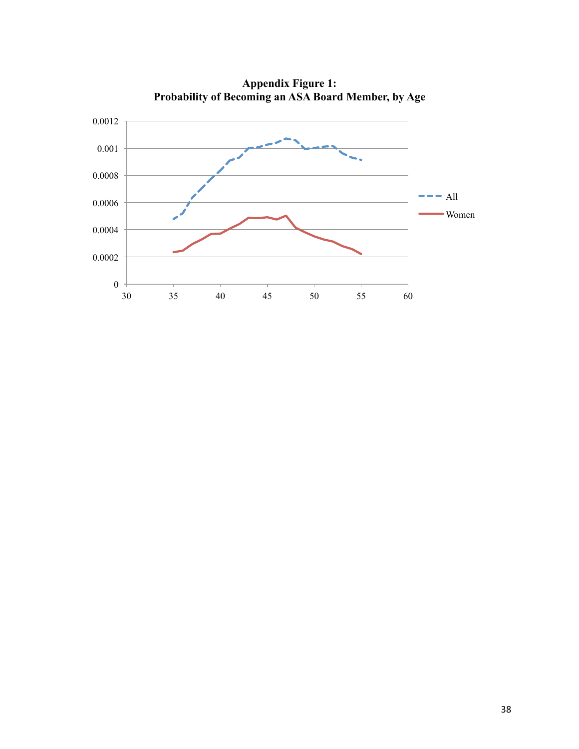

**Appendix Figure 1: Probability of Becoming an ASA Board Member, by Age**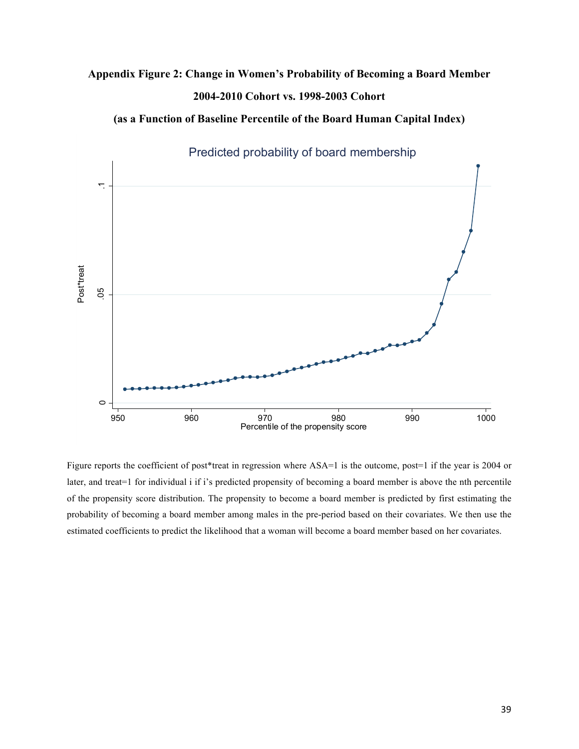## **Appendix Figure 2: Change in Women's Probability of Becoming a Board Member 2004-2010 Cohort vs. 1998-2003 Cohort**

Predicted probability of board membership .05 .1 Post\*treat Post\*treat  $\overline{50}$  $\circ$ 950 960 970 980 990 1000 Percentile of the propensity score

**(as a Function of Baseline Percentile of the Board Human Capital Index)**

Figure reports the coefficient of post\*treat in regression where ASA=1 is the outcome, post=1 if the year is 2004 or later, and treat=1 for individual i if i's predicted propensity of becoming a board member is above the nth percentile of the propensity score distribution. The propensity to become a board member is predicted by first estimating the probability of becoming a board member among males in the pre-period based on their covariates. We then use the estimated coefficients to predict the likelihood that a woman will become a board member based on her covariates.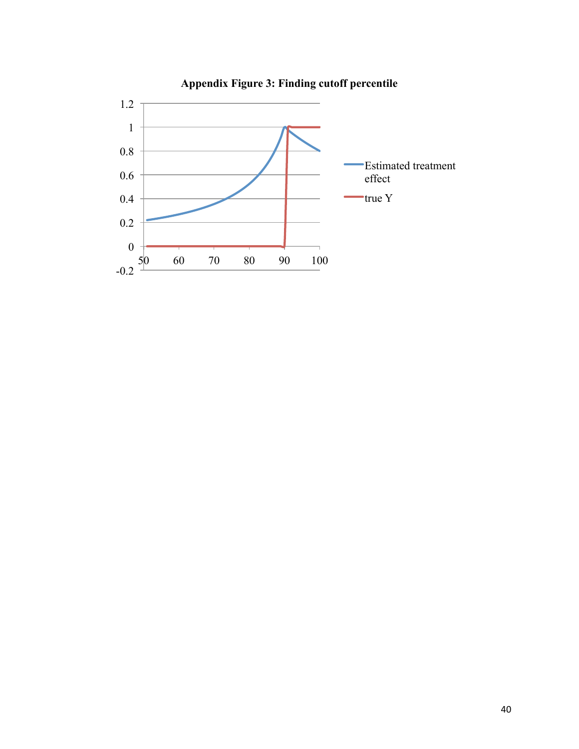

**Appendix Figure 3: Finding cutoff percentile**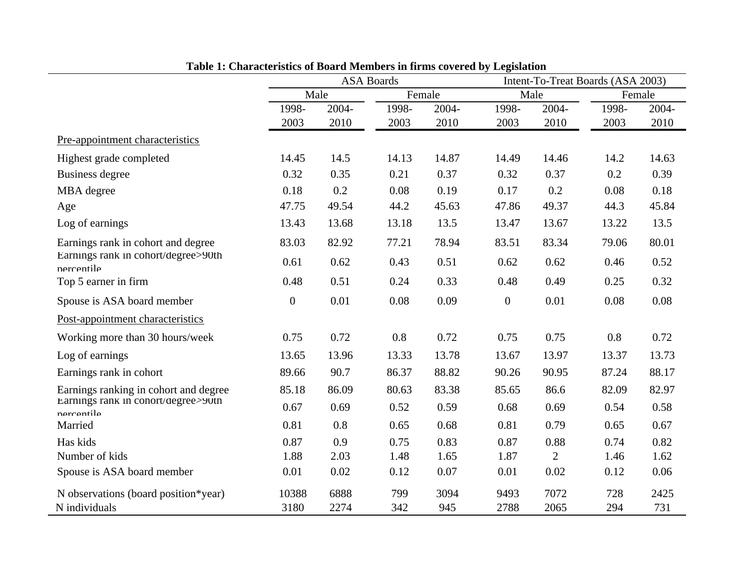|                                                   | Characteristics of Doara members in minis covered by |       | <b>ASA Boards</b> |        | $L_{\rm N}$      |                | Intent-To-Treat Boards (ASA 2003) |        |  |  |
|---------------------------------------------------|------------------------------------------------------|-------|-------------------|--------|------------------|----------------|-----------------------------------|--------|--|--|
|                                                   |                                                      | Male  |                   | Female |                  | Male           |                                   | Female |  |  |
|                                                   | 1998-                                                | 2004- | 1998-             | 2004-  | 1998-            | 2004-          | 1998-                             | 2004-  |  |  |
|                                                   | 2003                                                 | 2010  | 2003              | 2010   | 2003             | 2010           | 2003                              | 2010   |  |  |
| Pre-appointment characteristics                   |                                                      |       |                   |        |                  |                |                                   |        |  |  |
| Highest grade completed                           | 14.45                                                | 14.5  | 14.13             | 14.87  | 14.49            | 14.46          | 14.2                              | 14.63  |  |  |
| Business degree                                   | 0.32                                                 | 0.35  | 0.21              | 0.37   | 0.32             | 0.37           | 0.2                               | 0.39   |  |  |
| MBA degree                                        | 0.18                                                 | 0.2   | 0.08              | 0.19   | 0.17             | 0.2            | 0.08                              | 0.18   |  |  |
| Age                                               | 47.75                                                | 49.54 | 44.2              | 45.63  | 47.86            | 49.37          | 44.3                              | 45.84  |  |  |
| Log of earnings                                   | 13.43                                                | 13.68 | 13.18             | 13.5   | 13.47            | 13.67          | 13.22                             | 13.5   |  |  |
| Earnings rank in cohort and degree                | 83.03                                                | 82.92 | 77.21             | 78.94  | 83.51            | 83.34          | 79.06                             | 80.01  |  |  |
| Earnings rank in cohort/degree>90th<br>nercentile | 0.61                                                 | 0.62  | 0.43              | 0.51   | 0.62             | 0.62           | 0.46                              | 0.52   |  |  |
| Top 5 earner in firm                              | 0.48                                                 | 0.51  | 0.24              | 0.33   | 0.48             | 0.49           | 0.25                              | 0.32   |  |  |
| Spouse is ASA board member                        | $\boldsymbol{0}$                                     | 0.01  | 0.08              | 0.09   | $\boldsymbol{0}$ | 0.01           | 0.08                              | 0.08   |  |  |
| Post-appointment characteristics                  |                                                      |       |                   |        |                  |                |                                   |        |  |  |
| Working more than 30 hours/week                   | 0.75                                                 | 0.72  | 0.8               | 0.72   | 0.75             | 0.75           | 0.8                               | 0.72   |  |  |
| Log of earnings                                   | 13.65                                                | 13.96 | 13.33             | 13.78  | 13.67            | 13.97          | 13.37                             | 13.73  |  |  |
| Earnings rank in cohort                           | 89.66                                                | 90.7  | 86.37             | 88.82  | 90.26            | 90.95          | 87.24                             | 88.17  |  |  |
| Earnings ranking in cohort and degree             | 85.18                                                | 86.09 | 80.63             | 83.38  | 85.65            | 86.6           | 82.09                             | 82.97  |  |  |
| Earnings rank in conort/degree>y∪th<br>nercentile | 0.67                                                 | 0.69  | 0.52              | 0.59   | 0.68             | 0.69           | 0.54                              | 0.58   |  |  |
| Married                                           | 0.81                                                 | 0.8   | 0.65              | 0.68   | 0.81             | 0.79           | 0.65                              | 0.67   |  |  |
| Has kids                                          | 0.87                                                 | 0.9   | 0.75              | 0.83   | 0.87             | 0.88           | 0.74                              | 0.82   |  |  |
| Number of kids                                    | 1.88                                                 | 2.03  | 1.48              | 1.65   | 1.87             | $\overline{2}$ | 1.46                              | 1.62   |  |  |
| Spouse is ASA board member                        | 0.01                                                 | 0.02  | 0.12              | 0.07   | 0.01             | 0.02           | 0.12                              | 0.06   |  |  |
| N observations (board position*year)              | 10388                                                | 6888  | 799               | 3094   | 9493             | 7072           | 728                               | 2425   |  |  |
| N individuals                                     | 3180                                                 | 2274  | 342               | 945    | 2788             | 2065           | 294                               | 731    |  |  |

**Table 1: Characteristics of Board Members in firms covered by Legislation**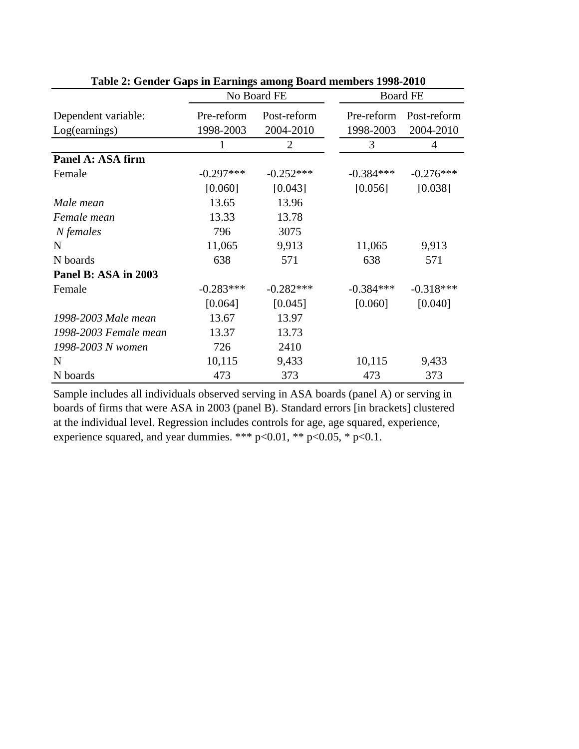|                                      | No Board FE             |                             | <b>Board FE</b>         |                          |  |
|--------------------------------------|-------------------------|-----------------------------|-------------------------|--------------------------|--|
| Dependent variable:<br>Log(earnings) | Pre-reform<br>1998-2003 | Post-reform<br>2004-2010    | Pre-reform<br>1998-2003 | Post-reform<br>2004-2010 |  |
|                                      |                         | $\mathcal{D}_{\mathcal{L}}$ | 3                       | 4                        |  |
| Panel A: ASA firm                    |                         |                             |                         |                          |  |
| Female                               | $-0.297***$             | $-0.252***$                 | $-0.384***$             | $-0.276***$              |  |
|                                      | [0.060]                 | [0.043]                     | [0.056]                 | [0.038]                  |  |
| Male mean                            | 13.65                   | 13.96                       |                         |                          |  |
| Female mean                          | 13.33                   | 13.78                       |                         |                          |  |
| N females                            | 796                     | 3075                        |                         |                          |  |
| $\mathbf N$                          | 11,065                  | 9,913                       | 11,065                  | 9,913                    |  |
| N boards                             | 638                     | 571                         | 638                     | 571                      |  |
| Panel B: ASA in 2003                 |                         |                             |                         |                          |  |
| Female                               | $-0.283***$             | $-0.282***$                 | $-0.384***$             | $-0.318***$              |  |
|                                      | [0.064]                 | [0.045]                     | [0.060]                 | [0.040]                  |  |
| 1998-2003 Male mean                  | 13.67                   | 13.97                       |                         |                          |  |
| 1998-2003 Female mean                | 13.37                   | 13.73                       |                         |                          |  |
| 1998-2003 N women                    | 726                     | 2410                        |                         |                          |  |
| N                                    | 10,115                  | 9,433                       | 10,115                  | 9,433                    |  |
| N boards                             | 473                     | 373                         | 473                     | 373                      |  |

**Table 2: Gender Gaps in Earnings among Board members 1998-2010**

Sample includes all individuals observed serving in ASA boards (panel A) or serving in boards of firms that were ASA in 2003 (panel B). Standard errors [in brackets] clustered at the individual level. Regression includes controls for age, age squared, experience, experience squared, and year dummies. \*\*\*  $p<0.01$ , \*\*  $p<0.05$ , \*  $p<0.1$ .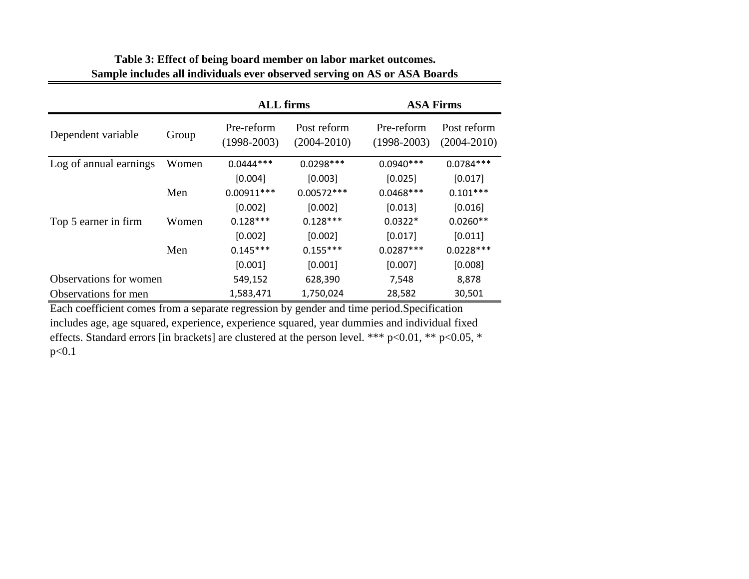|                        |       | <b>ALL</b> firms            |                                | <b>ASA Firms</b>            |                                |  |
|------------------------|-------|-----------------------------|--------------------------------|-----------------------------|--------------------------------|--|
| Dependent variable     | Group | Pre-reform<br>$(1998-2003)$ | Post reform<br>$(2004 - 2010)$ | Pre-reform<br>$(1998-2003)$ | Post reform<br>$(2004 - 2010)$ |  |
| Log of annual earnings | Women | $0.0444***$                 | $0.0298***$                    | $0.0940***$                 | $0.0784***$                    |  |
|                        |       | [0.004]                     | [0.003]                        | [0.025]                     | [0.017]                        |  |
|                        | Men   | $0.00911***$                | $0.00572***$                   | $0.0468***$                 | $0.101***$                     |  |
|                        |       | [0.002]                     | [0.002]                        | [0.013]                     | [0.016]                        |  |
| Top 5 earner in firm   | Women | $0.128***$                  | $0.128***$                     | $0.0322*$                   | $0.0260**$                     |  |
|                        |       | [0.002]                     | [0.002]                        | [0.017]                     | [0.011]                        |  |
|                        | Men   | $0.145***$                  | $0.155***$                     | $0.0287***$                 | $0.0228***$                    |  |
|                        |       | [0.001]                     | [0.001]                        | [0.007]                     | [0.008]                        |  |
| Observations for women |       | 549,152                     | 628,390                        | 7,548                       | 8,878                          |  |
| Observations for men   |       | 1,583,471                   | 1,750,024                      | 28,582                      | 30,501                         |  |

#### **Table 3: Effect of being board member on labor market outcomes. Sample includes all individuals ever observed serving on AS or ASA Boards**

Each coefficient comes from a separate regression by gender and time period.Specification includes age, age squared, experience, experience squared, year dummies and individual fixed effects. Standard errors [in brackets] are clustered at the person level. \*\*\* p<0.01, \*\* p<0.05, \* p<0.1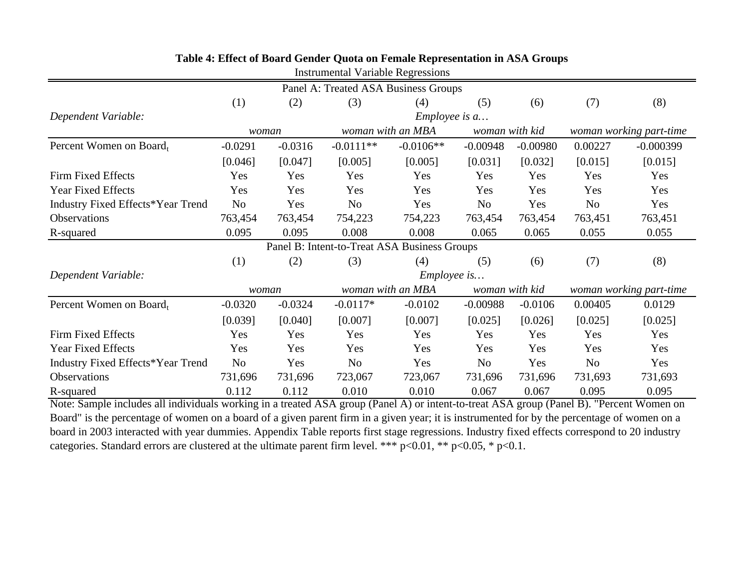| INSUMINUMENTAL VALIAULU NURIUSSIONS          |                |                            |                |                                      |                |                                           |                         |             |  |
|----------------------------------------------|----------------|----------------------------|----------------|--------------------------------------|----------------|-------------------------------------------|-------------------------|-------------|--|
|                                              |                |                            |                | Panel A: Treated ASA Business Groups |                |                                           |                         |             |  |
|                                              | (1)            | (2)                        | (3)            | (4)                                  | (5)            | (6)                                       | (7)                     | (8)         |  |
| Dependent Variable:                          |                |                            |                | $Employee$ is $a$                    |                |                                           |                         |             |  |
|                                              |                | woman with an MBA<br>woman |                |                                      | woman with kid |                                           | woman working part-time |             |  |
| Percent Women on Board,                      | $-0.0291$      | $-0.0316$                  | $-0.0111**$    | $-0.0106**$                          | $-0.00948$     | $-0.00980$                                | 0.00227                 | $-0.000399$ |  |
|                                              | [0.046]        | [0.047]                    | [0.005]        | [0.005]                              | [0.031]        | [0.032]                                   | [0.015]                 | [0.015]     |  |
| Firm Fixed Effects                           | Yes            | Yes                        | Yes            | Yes                                  | Yes            | Yes                                       | Yes                     | Yes         |  |
| <b>Year Fixed Effects</b>                    | Yes            | Yes                        | Yes            | Yes                                  | Yes            | Yes                                       | Yes                     | Yes         |  |
| Industry Fixed Effects*Year Trend            | N <sub>o</sub> | Yes                        | N <sub>o</sub> | Yes                                  | No             | Yes                                       | No                      | Yes         |  |
| Observations                                 | 763,454        | 763,454                    | 754,223        | 754,223                              | 763,454        | 763,454                                   | 763,451                 | 763,451     |  |
| R-squared                                    | 0.095          | 0.095                      | 0.008          | 0.008                                | 0.065          | 0.065                                     | 0.055                   | 0.055       |  |
| Panel B: Intent-to-Treat ASA Business Groups |                |                            |                |                                      |                |                                           |                         |             |  |
|                                              | (1)            | (2)                        | (3)            | (4)                                  | (5)            | (6)                                       | (7)                     | (8)         |  |
| Dependent Variable:                          |                |                            |                | <i>Employee is</i>                   |                |                                           |                         |             |  |
|                                              | woman          |                            |                | woman with an MBA                    |                | woman with kid<br>woman working part-time |                         |             |  |
| Percent Women on Board,                      | $-0.0320$      | $-0.0324$                  | $-0.0117*$     | $-0.0102$                            | $-0.00988$     | $-0.0106$                                 | 0.00405                 | 0.0129      |  |
|                                              | [0.039]        | [0.040]                    | [0.007]        | [0.007]                              | [0.025]        | [0.026]                                   | [0.025]                 | [0.025]     |  |
| Firm Fixed Effects                           | Yes            | Yes                        | Yes            | Yes                                  | Yes            | Yes                                       | Yes                     | Yes         |  |
| <b>Year Fixed Effects</b>                    | Yes            | Yes                        | Yes            | Yes                                  | Yes            | Yes                                       | Yes                     | Yes         |  |
| <b>Industry Fixed Effects*Year Trend</b>     | N <sub>o</sub> | Yes                        | N <sub>o</sub> | Yes                                  | N <sub>o</sub> | Yes                                       | N <sub>o</sub>          | Yes         |  |
| Observations                                 | 731,696        | 731,696                    | 723,067        | 723,067                              | 731,696        | 731,696                                   | 731,693                 | 731,693     |  |
| R-squared                                    | 0.112          | 0.112                      | 0.010          | 0.010                                | 0.067          | 0.067                                     | 0.095                   | 0.095       |  |

#### **Table 4: Effect of Board Gender Quota on Female Representation in ASA Groups**

Instrumental Variable Regressions

Note: Sample includes all individuals working in a treated ASA group (Panel A) or intent-to-treat ASA group (Panel B). "Percent Women on Board" is the percentage of women on a board of a given parent firm in a given year; it is instrumented for by the percentage of women on a board in 2003 interacted with year dummies. Appendix Table reports first stage regressions. Industry fixed effects correspond to 20 industry categories. Standard errors are clustered at the ultimate parent firm level. \*\*\* p<0.01, \*\* p<0.05, \* p<0.1.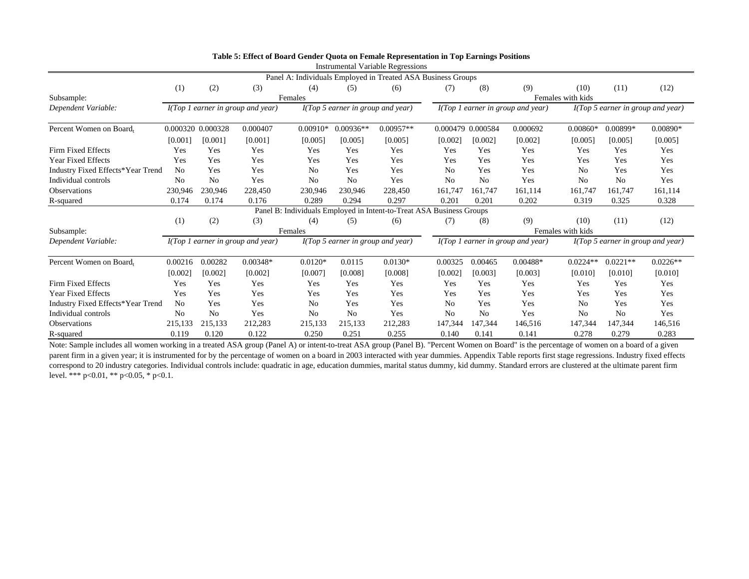|                                   |                |                   |                                     |                |                                   | mou amentar y ariable reexpensione<br>Panel A: Individuals Employed in Treated ASA Business Groups |                   |                |                                   |                   |                |                                             |
|-----------------------------------|----------------|-------------------|-------------------------------------|----------------|-----------------------------------|----------------------------------------------------------------------------------------------------|-------------------|----------------|-----------------------------------|-------------------|----------------|---------------------------------------------|
|                                   | (1)            | (2)               | (3)                                 | (4)            | (5)                               | (6)                                                                                                | (7)               | (8)            | (9)                               | (10)              | (11)           | (12)                                        |
| Subsample:                        |                |                   |                                     | Females        |                                   |                                                                                                    |                   |                |                                   | Females with kids |                |                                             |
| Dependent Variable:               |                |                   | $I(Top 1$ earner in group and year) |                | I(Top 5 earner in group and year) |                                                                                                    |                   |                | I(Top 1 earner in group and year) |                   |                | I(Top 5 earner in group and year)           |
| Percent Women on Board,           |                | 0.000320 0.000328 | 0.000407                            | $0.00910*$     | $0.00936**$                       | $0.00957**$                                                                                        | 0.000479          | 0.000584       | 0.000692                          | $0.00860*$        | 0.00899*       | $0.00890*$                                  |
|                                   | [0.001]        | [0.001]           | [0.001]                             | [0.005]        | [0.005]                           | [0.005]                                                                                            | [0.002]           | [0.002]        | [0.002]                           | [0.005]           | [0.005]        | [0.005]                                     |
| Firm Fixed Effects                | Yes            | Yes               | Yes                                 | Yes            | Yes                               | Yes                                                                                                | Yes               | Yes            | Yes                               | Yes               | Yes            | Yes                                         |
| <b>Year Fixed Effects</b>         | Yes            | Yes               | Yes                                 | Yes            | Yes                               | Yes                                                                                                | Yes               | Yes            | Yes                               | Yes               | Yes            | Yes                                         |
| Industry Fixed Effects*Year Trend | N <sub>0</sub> | Yes               | Yes                                 | N <sub>0</sub> | Yes                               | Yes                                                                                                | N <sub>0</sub>    | Yes            | Yes                               | No                | Yes            | Yes                                         |
| Individual controls               | N <sub>0</sub> | N <sub>0</sub>    | Yes                                 | N <sub>0</sub> | N <sub>0</sub>                    | Yes                                                                                                | N <sub>o</sub>    | No             | Yes                               | N <sub>0</sub>    | N <sub>0</sub> | Yes                                         |
| Observations                      | 230,946        | 230,946           | 228,450                             | 230,946        | 230,946                           | 228,450                                                                                            | 161,747           | 161,747        | 161,114                           | 161,747           | 161,747        | 161,114                                     |
| R-squared                         | 0.174          | 0.174             | 0.176                               | 0.289          | 0.294                             | 0.297                                                                                              | 0.201             | 0.201          | 0.202                             | 0.319             | 0.325          | 0.328                                       |
|                                   |                |                   |                                     |                |                                   | Panel B: Individuals Employed in Intent-to-Treat ASA Business Groups                               |                   |                |                                   |                   |                |                                             |
|                                   | (1)            | (2)               | (3)                                 | (4)            | (5)                               | (6)                                                                                                | (7)               | (8)            | (9)                               | (10)              | (11)           | (12)                                        |
| Subsample:                        |                |                   |                                     | Females        |                                   |                                                                                                    | Females with kids |                |                                   |                   |                |                                             |
| Dependent Variable:               |                |                   | $I(Top 1$ earner in group and year) |                | I(Top 5 earner in group and year) |                                                                                                    |                   |                | I(Top 1 earner in group and year) |                   |                | $I(Top 5 \text{ earner in group and year})$ |
| Percent Women on Board,           | 0.00216        | 0.00282           | $0.00348*$                          | $0.0120*$      | 0.0115                            | $0.0130*$                                                                                          | 0.00325           | 0.00465        | $0.00488*$                        | $0.0224**$        | $0.0221**$     | $0.0226**$                                  |
|                                   | [0.002]        | [0.002]           | [0.002]                             | [0.007]        | [0.008]                           | [0.008]                                                                                            | [0.002]           | [0.003]        | [0.003]                           | [0.010]           | [0.010]        | [0.010]                                     |
| Firm Fixed Effects                | Yes            | Yes               | Yes                                 | Yes            | Yes                               | Yes                                                                                                | Yes               | Yes            | Yes                               | Yes               | Yes            | Yes                                         |
| Year Fixed Effects                | Yes            | Yes               | Yes                                 | Yes            | Yes                               | Yes                                                                                                | Yes               | Yes            | Yes                               | Yes               | Yes            | Yes                                         |
| Industry Fixed Effects*Year Trend | N <sub>0</sub> | Yes               | Yes                                 | N <sub>0</sub> | Yes                               | Yes                                                                                                | N <sub>0</sub>    | Yes            | Yes                               | N <sub>0</sub>    | Yes            | Yes                                         |
| Individual controls               | N <sub>0</sub> | N <sub>0</sub>    | Yes                                 | N <sub>0</sub> | N <sub>0</sub>                    | Yes                                                                                                | N <sub>o</sub>    | N <sub>o</sub> | Yes                               | N <sub>o</sub>    | N <sub>0</sub> | Yes                                         |
| <b>Observations</b>               | 215,133        | 215,133           | 212,283                             | 215,133        | 215,133                           | 212,283                                                                                            | 147,344           | 147,344        | 146,516                           | 147,344           | 147,344        | 146,516                                     |
| R-squared                         | 0.119          | 0.120             | 0.122                               | 0.250          | 0.251                             | 0.255                                                                                              | 0.140             | 0.141          | 0.141                             | 0.278             | 0.279          | 0.283                                       |

| Table 5: Effect of Board Gender Quota on Female Representation in Top Earnings Positions |
|------------------------------------------------------------------------------------------|
| Instrumental Variable Regressions                                                        |

Note: Sample includes all women working in a treated ASA group (Panel A) or intent-to-treat ASA group (Panel B). "Percent Women on Board" is the percentage of women on a board of a given parent firm in a given year; it is instrumented for by the percentage of women on a board in 2003 interacted with year dummies. Appendix Table reports first stage regressions. Industry fixed effects correspond to 20 industry categories. Individual controls include: quadratic in age, education dummies, marital status dummy, kid dummy. Standard errors are clustered at the ultimate parent firm level. \*\*\* p<0.01, \*\* p<0.05, \* p<0.1.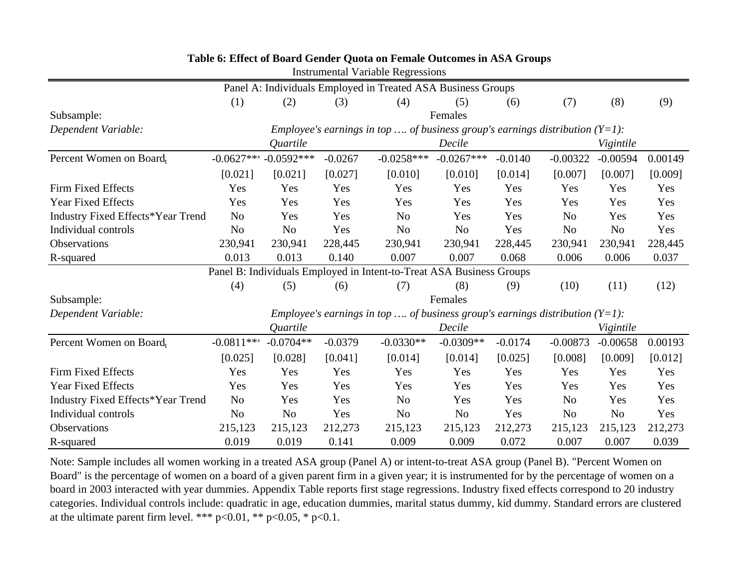| <b>Instrumental Variable Regressions</b>                             |                |                |           |                                                                                 |                |           |                |                |         |  |
|----------------------------------------------------------------------|----------------|----------------|-----------|---------------------------------------------------------------------------------|----------------|-----------|----------------|----------------|---------|--|
|                                                                      |                |                |           | Panel A: Individuals Employed in Treated ASA Business Groups                    |                |           |                |                |         |  |
|                                                                      | (1)            | (2)            | (3)       | (4)                                                                             | (5)            | (6)       | (7)            | (8)            | (9)     |  |
| Subsample:                                                           |                |                |           |                                                                                 | Females        |           |                |                |         |  |
| Dependent Variable:                                                  |                |                |           | Employee's earnings in top  of business group's earnings distribution $(Y=1)$ : |                |           |                |                |         |  |
|                                                                      |                | Quartile       |           |                                                                                 | Decile         |           |                | Vigintile      |         |  |
| Percent Women on Board,                                              | $-0.0627***$   | $-0.0592***$   | $-0.0267$ | $-0.0258***$                                                                    | $-0.0267***$   | $-0.0140$ | $-0.00322$     | $-0.00594$     | 0.00149 |  |
|                                                                      | [0.021]        | [0.021]        | [0.027]   | [0.010]                                                                         | [0.010]        | [0.014]   | [0.007]        | [0.007]        | [0.009] |  |
| <b>Firm Fixed Effects</b>                                            | Yes            | Yes            | Yes       | Yes                                                                             | Yes            | Yes       | Yes            | Yes            | Yes     |  |
| <b>Year Fixed Effects</b>                                            | Yes            | Yes            | Yes       | Yes                                                                             | Yes            | Yes       | Yes            | Yes            | Yes     |  |
| <b>Industry Fixed Effects*Year Trend</b>                             | N <sub>o</sub> | Yes            | Yes       | N <sub>o</sub>                                                                  | Yes            | Yes       | N <sub>o</sub> | Yes            | Yes     |  |
| Individual controls                                                  | N <sub>o</sub> | N <sub>o</sub> | Yes       | N <sub>o</sub>                                                                  | N <sub>o</sub> | Yes       | <b>No</b>      | N <sub>o</sub> | Yes     |  |
| Observations                                                         | 230,941        | 230,941        | 228,445   | 230,941                                                                         | 230,941        | 228,445   | 230,941        | 230,941        | 228,445 |  |
| R-squared                                                            | 0.013          | 0.013          | 0.140     | 0.007                                                                           | 0.007          | 0.068     | 0.006          | 0.006          | 0.037   |  |
| Panel B: Individuals Employed in Intent-to-Treat ASA Business Groups |                |                |           |                                                                                 |                |           |                |                |         |  |
|                                                                      | (4)            | (5)            | (6)       | (7)                                                                             | (8)            | (9)       | (10)           | (11)           | (12)    |  |
| Subsample:                                                           |                |                |           |                                                                                 | Females        |           |                |                |         |  |
| Dependent Variable:                                                  |                |                |           | Employee's earnings in top  of business group's earnings distribution $(Y=1)$ : |                |           |                |                |         |  |
|                                                                      |                | Quartile       |           |                                                                                 | Decile         |           |                | Vigintile      |         |  |
| Percent Women on Board,                                              | $-0.0811***$   | $-0.0704**$    | $-0.0379$ | $-0.0330**$                                                                     | $-0.0309**$    | $-0.0174$ | $-0.00873$     | $-0.00658$     | 0.00193 |  |
|                                                                      | [0.025]        | [0.028]        | [0.041]   | [0.014]                                                                         | [0.014]        | [0.025]   | [0.008]        | [0.009]        | [0.012] |  |
| Firm Fixed Effects                                                   | Yes            | Yes            | Yes       | Yes                                                                             | Yes            | Yes       | Yes            | Yes            | Yes     |  |
| <b>Year Fixed Effects</b>                                            | Yes            | Yes            | Yes       | Yes                                                                             | Yes            | Yes       | Yes            | Yes            | Yes     |  |
| <b>Industry Fixed Effects*Year Trend</b>                             | N <sub>o</sub> | Yes            | Yes       | N <sub>o</sub>                                                                  | Yes            | Yes       | N <sub>o</sub> | Yes            | Yes     |  |
| Individual controls                                                  | N <sub>o</sub> | N <sub>o</sub> | Yes       | N <sub>o</sub>                                                                  | N <sub>o</sub> | Yes       | N <sub>o</sub> | N <sub>o</sub> | Yes     |  |
| Observations                                                         | 215,123        | 215,123        | 212,273   | 215,123                                                                         | 215,123        | 212,273   | 215,123        | 215,123        | 212,273 |  |
| R-squared                                                            | 0.019          | 0.019          | 0.141     | 0.009                                                                           | 0.009          | 0.072     | 0.007          | 0.007          | 0.039   |  |

**Table 6: Effect of Board Gender Quota on Female Outcomes in ASA Groups**

Note: Sample includes all women working in a treated ASA group (Panel A) or intent-to-treat ASA group (Panel B). "Percent Women on Board" is the percentage of women on a board of a given parent firm in a given year; it is instrumented for by the percentage of women on a board in 2003 interacted with year dummies. Appendix Table reports first stage regressions. Industry fixed effects correspond to 20 industry categories. Individual controls include: quadratic in age, education dummies, marital status dummy, kid dummy. Standard errors are clustered at the ultimate parent firm level. \*\*\*  $p<0.01$ , \*\*  $p<0.05$ , \*  $p<0.1$ .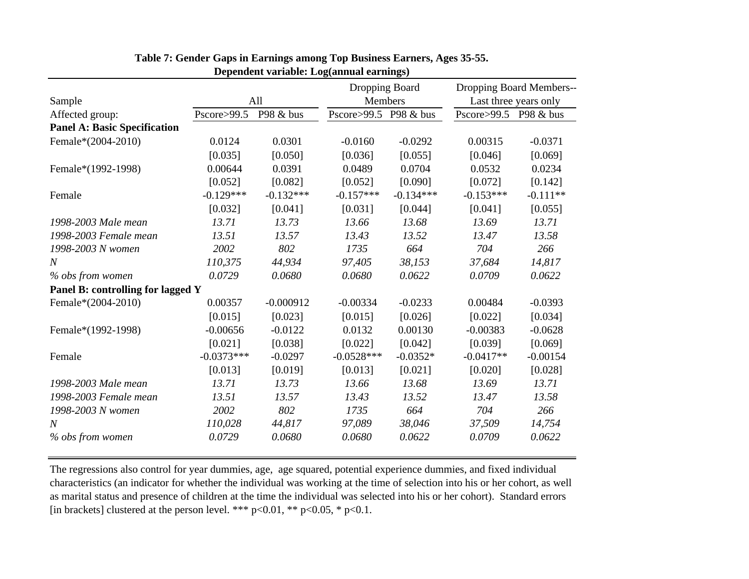|                                     |               |             | Dropping Board        |             | Dropping Board Members-- |                       |  |
|-------------------------------------|---------------|-------------|-----------------------|-------------|--------------------------|-----------------------|--|
| Sample                              |               | All         | Members               |             |                          | Last three years only |  |
| Affected group:                     | Pscore > 99.5 | P98 & bus   | Pscore>99.5 P98 & bus |             | Pscore > 99.5            | P98 & bus             |  |
| <b>Panel A: Basic Specification</b> |               |             |                       |             |                          |                       |  |
| Female*(2004-2010)                  | 0.0124        | 0.0301      | $-0.0160$             | $-0.0292$   | 0.00315                  | $-0.0371$             |  |
|                                     | [0.035]       | [0.050]     | [0.036]               | [0.055]     | [0.046]                  | [0.069]               |  |
| Female*(1992-1998)                  | 0.00644       | 0.0391      | 0.0489                | 0.0704      | 0.0532                   | 0.0234                |  |
|                                     | [0.052]       | [0.082]     | [0.052]               | [0.090]     | [0.072]                  | [0.142]               |  |
| Female                              | $-0.129***$   | $-0.132***$ | $-0.157***$           | $-0.134***$ | $-0.153***$              | $-0.111**$            |  |
|                                     | [0.032]       | [0.041]     | [0.031]               | [0.044]     | [0.041]                  | [0.055]               |  |
| 1998-2003 Male mean                 | 13.71         | 13.73       | 13.66                 | 13.68       | 13.69                    | 13.71                 |  |
| 1998-2003 Female mean               | 13.51         | 13.57       | 13.43                 | 13.52       | 13.47                    | 13.58                 |  |
| 1998-2003 N women                   | 2002          | 802         | 1735                  | 664         | 704                      | 266                   |  |
| N                                   | 110,375       | 44,934      | 97,405                | 38,153      | 37,684                   | 14,817                |  |
| % obs from women                    | 0.0729        | 0.0680      | 0.0680                | 0.0622      | 0.0709                   | 0.0622                |  |
| Panel B: controlling for lagged Y   |               |             |                       |             |                          |                       |  |
| Female*(2004-2010)                  | 0.00357       | $-0.000912$ | $-0.00334$            | $-0.0233$   | 0.00484                  | $-0.0393$             |  |
|                                     | [0.015]       | [0.023]     | [0.015]               | [0.026]     | [0.022]                  | [0.034]               |  |
| Female*(1992-1998)                  | $-0.00656$    | $-0.0122$   | 0.0132                | 0.00130     | $-0.00383$               | $-0.0628$             |  |
|                                     | [0.021]       | [0.038]     | [0.022]               | [0.042]     | [0.039]                  | [0.069]               |  |
| Female                              | $-0.0373***$  | $-0.0297$   | $-0.0528***$          | $-0.0352*$  | $-0.0417**$              | $-0.00154$            |  |
|                                     | [0.013]       | [0.019]     | [0.013]               | [0.021]     | [0.020]                  | [0.028]               |  |
| 1998-2003 Male mean                 | 13.71         | 13.73       | 13.66                 | 13.68       | 13.69                    | 13.71                 |  |
| 1998-2003 Female mean               | 13.51         | 13.57       | 13.43                 | 13.52       | 13.47                    | 13.58                 |  |
| 1998-2003 N women                   | 2002          | 802         | 1735                  | 664         | 704                      | 266                   |  |
| $\boldsymbol{N}$                    | 110,028       | 44,817      | 97,089                | 38,046      | 37,509                   | 14,754                |  |
| % obs from women                    | 0.0729        | 0.0680      | 0.0680                | 0.0622      | 0.0709                   | 0.0622                |  |
|                                     |               |             |                       |             |                          |                       |  |

#### **Table 7: Gender Gaps in Earnings among Top Business Earners, Ages 35-55. Dependent variable: Log(annual earnings)**

The regressions also control for year dummies, age, age squared, potential experience dummies, and fixed individual characteristics (an indicator for whether the individual was working at the time of selection into his or her cohort, as well as marital status and presence of children at the time the individual was selected into his or her cohort). Standard errors [in brackets] clustered at the person level. \*\*\*  $p<0.01$ , \*\*  $p<0.05$ , \*  $p<0.1$ .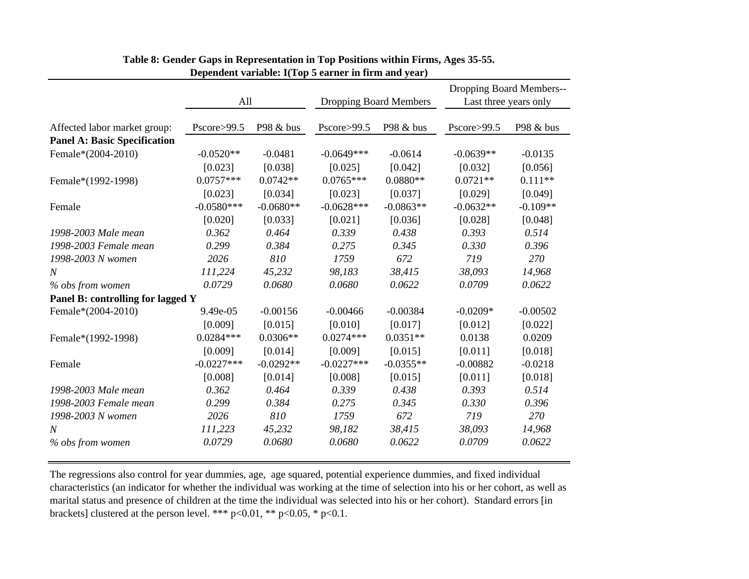|                                     | All          |             | Dropping Board Members |             | Dropping Board Members--<br>Last three years only |            |
|-------------------------------------|--------------|-------------|------------------------|-------------|---------------------------------------------------|------------|
| Affected labor market group:        | Pscore>99.5  | P98 & bus   | Pscore>99.5            | P98 & bus   | Pscore>99.5                                       | P98 & bus  |
| <b>Panel A: Basic Specification</b> |              |             |                        |             |                                                   |            |
| Female*(2004-2010)                  | $-0.0520**$  | $-0.0481$   | $-0.0649***$           | $-0.0614$   | $-0.0639**$                                       | $-0.0135$  |
|                                     | [0.023]      | [0.038]     | [0.025]                | [0.042]     | [0.032]                                           | [0.056]    |
| Female*(1992-1998)                  | $0.0757***$  | $0.0742**$  | $0.0765***$            | $0.0880**$  | $0.0721**$                                        | $0.111**$  |
|                                     | [0.023]      | [0.034]     | [0.023]                | [0.037]     | [0.029]                                           | [0.049]    |
| Female                              | $-0.0580***$ | $-0.0680**$ | $-0.0628***$           | $-0.0863**$ | $-0.0632**$                                       | $-0.109**$ |
|                                     | [0.020]      | [0.033]     | [0.021]                | [0.036]     | [0.028]                                           | [0.048]    |
| 1998-2003 Male mean                 | 0.362        | 0.464       | 0.339                  | 0.438       | 0.393                                             | 0.514      |
| 1998-2003 Female mean               | 0.299        | 0.384       | 0.275                  | 0.345       | 0.330                                             | 0.396      |
| 1998-2003 N women                   | 2026         | 810         | 1759                   | 672         | 719                                               | 270        |
| $\overline{N}$                      | 111,224      | 45,232      | 98,183                 | 38,415      | 38,093                                            | 14,968     |
| % obs from women                    | 0.0729       | 0.0680      | 0.0680                 | 0.0622      | 0.0709                                            | 0.0622     |
| Panel B: controlling for lagged Y   |              |             |                        |             |                                                   |            |
| Female*(2004-2010)                  | $9.49e-05$   | $-0.00156$  | $-0.00466$             | $-0.00384$  | $-0.0209*$                                        | $-0.00502$ |
|                                     | [0.009]      | [0.015]     | [0.010]                | [0.017]     | [0.012]                                           | [0.022]    |
| Female*(1992-1998)                  | $0.0284***$  | $0.0306**$  | $0.0274***$            | $0.0351**$  | 0.0138                                            | 0.0209     |
|                                     | [0.009]      | [0.014]     | [0.009]                | [0.015]     | [0.011]                                           | [0.018]    |
| Female                              | $-0.0227***$ | $-0.0292**$ | $-0.0227***$           | $-0.0355**$ | $-0.00882$                                        | $-0.0218$  |
|                                     | [0.008]      | [0.014]     | [0.008]                | [0.015]     | [0.011]                                           | [0.018]    |
| 1998-2003 Male mean                 | 0.362        | 0.464       | 0.339                  | 0.438       | 0.393                                             | 0.514      |
| 1998-2003 Female mean               | 0.299        | 0.384       | 0.275                  | 0.345       | 0.330                                             | 0.396      |
| 1998-2003 N women                   | 2026         | 810         | 1759                   | 672         | 719                                               | 270        |
| N                                   | 111,223      | 45,232      | 98,182                 | 38,415      | 38,093                                            | 14,968     |
| % obs from women                    | 0.0729       | 0.0680      | 0.0680                 | 0.0622      | 0.0709                                            | 0.0622     |

#### **Table 8: Gender Gaps in Representation in Top Positions within Firms, Ages 35-55. Dependent variable: I(Top 5 earner in firm and year)**

The regressions also control for year dummies, age, age squared, potential experience dummies, and fixed individual characteristics (an indicator for whether the individual was working at the time of selection into his or her cohort, as well as marital status and presence of children at the time the individual was selected into his or her cohort). Standard errors [in brackets] clustered at the person level. \*\*\*  $p<0.01$ , \*\*  $p<0.05$ , \*  $p<0.1$ .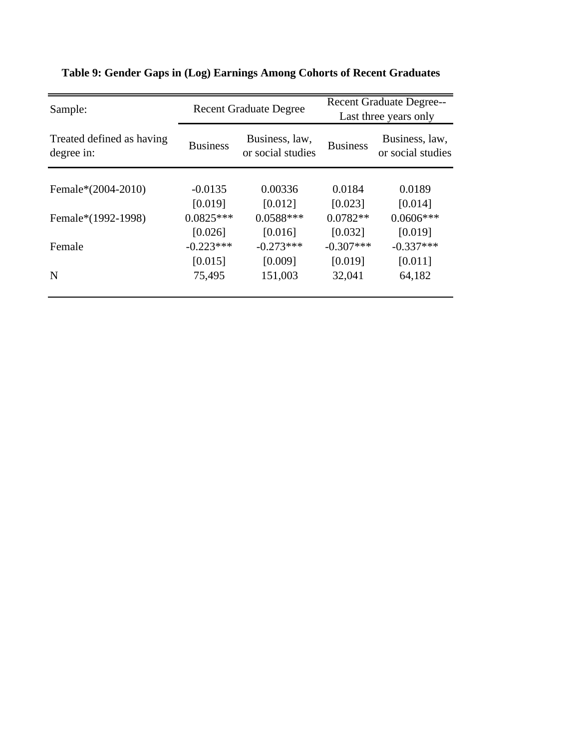| Sample:                                 |                 | <b>Recent Graduate Degree</b>       |                 | <b>Recent Graduate Degree--</b><br>Last three years only |  |  |  |
|-----------------------------------------|-----------------|-------------------------------------|-----------------|----------------------------------------------------------|--|--|--|
| Treated defined as having<br>degree in: | <b>Business</b> | Business, law,<br>or social studies | <b>Business</b> | Business, law,<br>or social studies                      |  |  |  |
| Female*(2004-2010)                      | $-0.0135$       | 0.00336                             | 0.0184          | 0.0189                                                   |  |  |  |
|                                         | [0.019]         | [0.012]                             | [0.023]         | [0.014]                                                  |  |  |  |
| Female*(1992-1998)                      | $0.0825***$     | $0.0588***$                         | $0.0782**$      | $0.0606***$                                              |  |  |  |
|                                         | [0.026]         | [0.016]                             | [0.032]         | [0.019]                                                  |  |  |  |
| Female                                  | $-0.223***$     | $-0.273***$                         | $-0.307***$     | $-0.337***$                                              |  |  |  |
|                                         | [0.015]         | [0.009]                             | [0.019]         | [0.011]                                                  |  |  |  |
| N                                       | 75,495          | 151,003                             | 32,041          | 64,182                                                   |  |  |  |
|                                         |                 |                                     |                 |                                                          |  |  |  |

## **Table 9: Gender Gaps in (Log) Earnings Among Cohorts of Recent Graduates**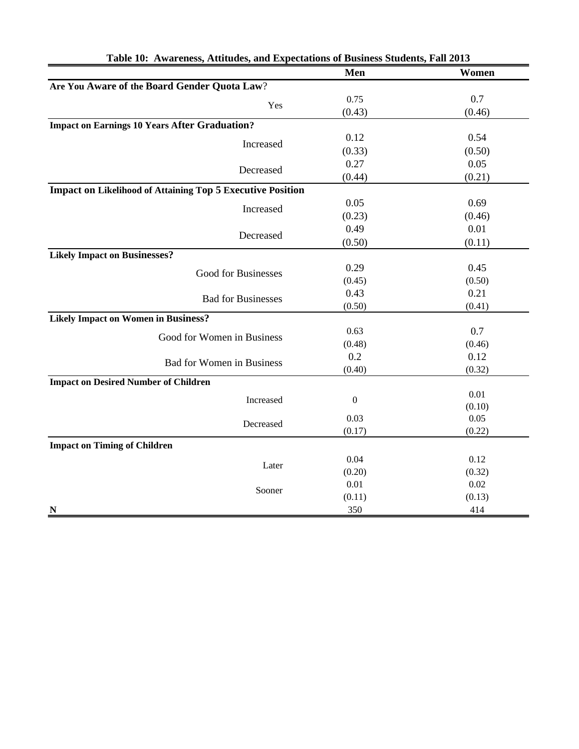|                                                                   | Men              | Women  |
|-------------------------------------------------------------------|------------------|--------|
| Are You Aware of the Board Gender Quota Law?                      |                  |        |
| Yes                                                               | 0.75             | 0.7    |
|                                                                   | (0.43)           | (0.46) |
| <b>Impact on Earnings 10 Years After Graduation?</b>              |                  |        |
| Increased                                                         | 0.12             | 0.54   |
|                                                                   | (0.33)           | (0.50) |
| Decreased                                                         | 0.27             | 0.05   |
|                                                                   | (0.44)           | (0.21) |
| <b>Impact on Likelihood of Attaining Top 5 Executive Position</b> |                  |        |
| Increased                                                         | 0.05             | 0.69   |
|                                                                   | (0.23)           | (0.46) |
| Decreased                                                         | 0.49             | 0.01   |
|                                                                   | (0.50)           | (0.11) |
| <b>Likely Impact on Businesses?</b>                               |                  |        |
| Good for Businesses                                               | 0.29             | 0.45   |
|                                                                   | (0.45)           | (0.50) |
| <b>Bad for Businesses</b>                                         | 0.43             | 0.21   |
|                                                                   | (0.50)           | (0.41) |
| <b>Likely Impact on Women in Business?</b>                        |                  |        |
| Good for Women in Business                                        | 0.63             | 0.7    |
|                                                                   | (0.48)           | (0.46) |
| <b>Bad for Women in Business</b>                                  | 0.2              | 0.12   |
|                                                                   | (0.40)           | (0.32) |
| <b>Impact on Desired Number of Children</b>                       |                  |        |
| Increased                                                         | $\boldsymbol{0}$ | 0.01   |
|                                                                   |                  | (0.10) |
| Decreased                                                         | 0.03             | 0.05   |
|                                                                   | (0.17)           | (0.22) |
| <b>Impact on Timing of Children</b>                               |                  |        |
| Later                                                             | 0.04             | 0.12   |
|                                                                   | (0.20)           | (0.32) |
| Sooner                                                            | 0.01             | 0.02   |
|                                                                   | (0.11)           | (0.13) |
| $\overline{\mathbf{N}}$                                           | 350              | 414    |

| Table 10: Awareness, Attitudes, and Expectations of Business Students, Fall 2013 |  |  |  |
|----------------------------------------------------------------------------------|--|--|--|
|                                                                                  |  |  |  |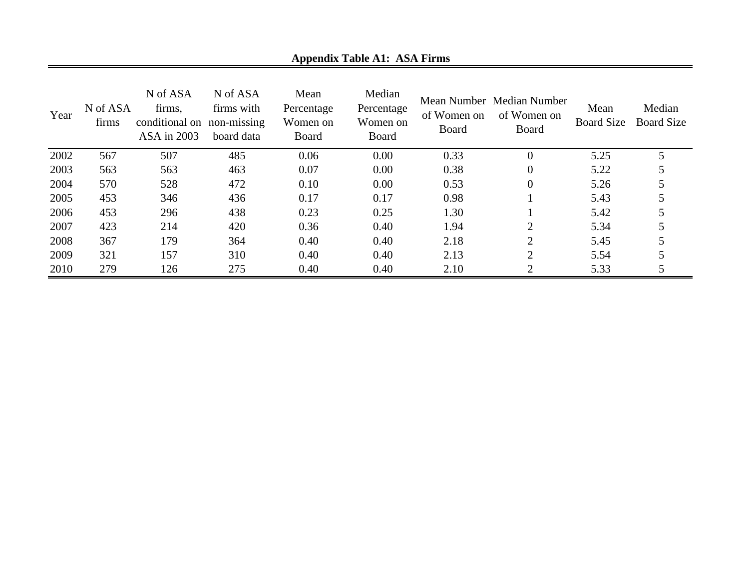| Year | N of ASA<br>firms | N of ASA<br>firms,<br>conditional on<br>ASA in 2003 | N of ASA<br>firms with<br>non-missing<br>board data | Mean<br>Percentage<br>Women on<br>Board | Median<br>Percentage<br>Women on<br><b>Board</b> | of Women on<br>Board | Mean Number Median Number<br>of Women on<br>Board | Mean<br><b>Board Size</b> | Median<br><b>Board Size</b> |
|------|-------------------|-----------------------------------------------------|-----------------------------------------------------|-----------------------------------------|--------------------------------------------------|----------------------|---------------------------------------------------|---------------------------|-----------------------------|
| 2002 | 567               | 507                                                 | 485                                                 | 0.06                                    | 0.00                                             | 0.33                 | $\overline{0}$                                    | 5.25                      |                             |
| 2003 | 563               | 563                                                 | 463                                                 | 0.07                                    | 0.00                                             | 0.38                 | $\boldsymbol{0}$                                  | 5.22                      |                             |
| 2004 | 570               | 528                                                 | 472                                                 | 0.10                                    | 0.00                                             | 0.53                 | $\theta$                                          | 5.26                      |                             |
| 2005 | 453               | 346                                                 | 436                                                 | 0.17                                    | 0.17                                             | 0.98                 |                                                   | 5.43                      |                             |
| 2006 | 453               | 296                                                 | 438                                                 | 0.23                                    | 0.25                                             | 1.30                 |                                                   | 5.42                      |                             |
| 2007 | 423               | 214                                                 | 420                                                 | 0.36                                    | 0.40                                             | 1.94                 | $\overline{2}$                                    | 5.34                      |                             |
| 2008 | 367               | 179                                                 | 364                                                 | 0.40                                    | 0.40                                             | 2.18                 | $\overline{2}$                                    | 5.45                      |                             |
| 2009 | 321               | 157                                                 | 310                                                 | 0.40                                    | 0.40                                             | 2.13                 | 2                                                 | 5.54                      |                             |
| 2010 | 279               | 126                                                 | 275                                                 | 0.40                                    | 0.40                                             | 2.10                 | ◠                                                 | 5.33                      |                             |

**Appendix Table A1: ASA Firms**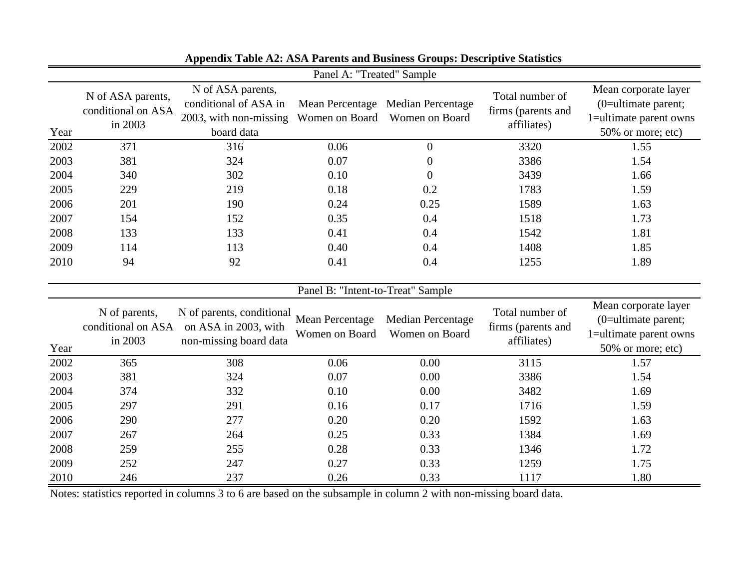|      | Panel A: "Treated" Sample                          |                                                                                    |                                          |                                                     |                                                      |                                                                                               |  |  |  |  |  |
|------|----------------------------------------------------|------------------------------------------------------------------------------------|------------------------------------------|-----------------------------------------------------|------------------------------------------------------|-----------------------------------------------------------------------------------------------|--|--|--|--|--|
| Year | N of ASA parents,<br>conditional on ASA<br>in 2003 | N of ASA parents,<br>conditional of ASA in<br>2003, with non-missing<br>board data | Women on Board                           | Mean Percentage Median Percentage<br>Women on Board | Total number of<br>firms (parents and<br>affiliates) | Mean corporate layer<br>$(0=$ ultimate parent;<br>1=ultimate parent owns<br>50% or more; etc) |  |  |  |  |  |
| 2002 | 371                                                | 316                                                                                | 0.06                                     | $\overline{0}$                                      | 3320                                                 | 1.55                                                                                          |  |  |  |  |  |
| 2003 | 381                                                | 324                                                                                | 0.07                                     | $\boldsymbol{0}$                                    | 3386                                                 | 1.54                                                                                          |  |  |  |  |  |
| 2004 | 340                                                | 302                                                                                | 0.10                                     | $\overline{0}$                                      | 3439                                                 | 1.66                                                                                          |  |  |  |  |  |
| 2005 | 229                                                | 219                                                                                | 0.18                                     | 0.2                                                 | 1783                                                 | 1.59                                                                                          |  |  |  |  |  |
| 2006 | 201                                                | 190                                                                                | 0.24                                     | 0.25                                                | 1589                                                 | 1.63                                                                                          |  |  |  |  |  |
| 2007 | 154                                                | 152                                                                                | 0.35                                     | 0.4                                                 | 1518                                                 | 1.73                                                                                          |  |  |  |  |  |
| 2008 | 133                                                | 133                                                                                | 0.41                                     | 0.4                                                 | 1542                                                 | 1.81                                                                                          |  |  |  |  |  |
| 2009 | 114                                                | 113                                                                                | 0.40                                     | 0.4                                                 | 1408                                                 | 1.85                                                                                          |  |  |  |  |  |
| 2010 | 94                                                 | 92                                                                                 | 0.41                                     | 0.4                                                 | 1255                                                 | 1.89                                                                                          |  |  |  |  |  |
|      | Panel B: "Intent-to-Treat" Sample                  |                                                                                    |                                          |                                                     |                                                      |                                                                                               |  |  |  |  |  |
| Year | N of parents,<br>conditional on ASA<br>in 2003     | N of parents, conditional<br>on ASA in 2003, with<br>non-missing board data        | <b>Mean Percentage</b><br>Women on Board | <b>Median Percentage</b><br>Women on Board          | Total number of<br>firms (parents and<br>affiliates) | Mean corporate layer<br>$(0=$ ultimate parent;<br>1=ultimate parent owns<br>50% or more; etc) |  |  |  |  |  |
| 2002 | 365                                                | 308                                                                                | 0.06                                     | 0.00                                                | 3115                                                 | 1.57                                                                                          |  |  |  |  |  |
| 2003 | 381                                                | 324                                                                                | 0.07                                     | 0.00                                                | 3386                                                 | 1.54                                                                                          |  |  |  |  |  |
| 2004 | 374                                                | 332                                                                                | 0.10                                     | 0.00                                                | 3482                                                 | 1.69                                                                                          |  |  |  |  |  |
| 2005 | 297                                                | 291                                                                                | 0.16                                     | 0.17                                                | 1716                                                 | 1.59                                                                                          |  |  |  |  |  |
| 2006 | 290                                                | 277                                                                                | 0.20                                     | 0.20                                                | 1592                                                 | 1.63                                                                                          |  |  |  |  |  |
| 2007 | 267                                                | 264                                                                                | 0.25                                     | 0.33                                                | 1384                                                 | 1.69                                                                                          |  |  |  |  |  |
| 2008 | 259                                                | 255                                                                                | 0.28                                     | 0.33                                                | 1346                                                 | 1.72                                                                                          |  |  |  |  |  |
| 2009 | 252                                                | 247                                                                                | 0.27                                     | 0.33                                                | 1259                                                 | 1.75                                                                                          |  |  |  |  |  |
| 2010 | 246                                                | 237                                                                                | 0.26                                     | 0.33                                                | 1117                                                 | 1.80                                                                                          |  |  |  |  |  |

**Appendix Table A2: ASA Parents and Business Groups: Descriptive Statistics** 

Notes: statistics reported in columns 3 to 6 are based on the subsample in column 2 with non-missing board data.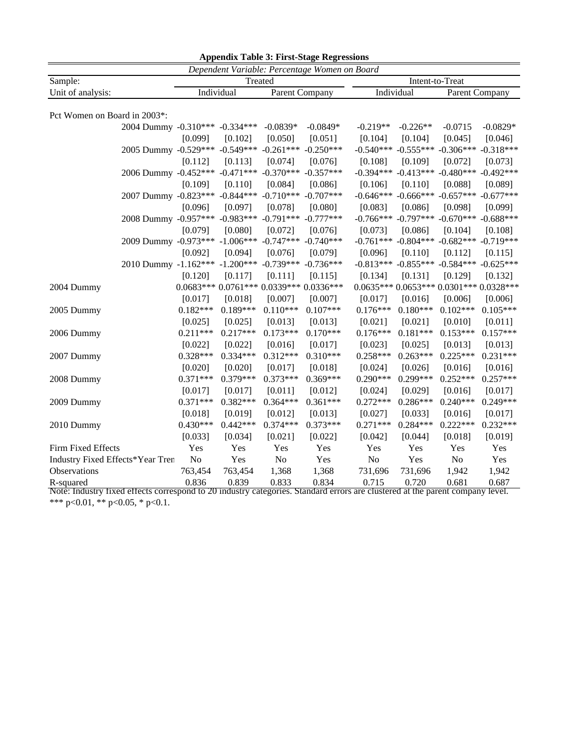| <b>Appendix Table 3: First-Stage Regressions</b> |                                                        |            |            |                                        |                 |            |            |                                                 |            |
|--------------------------------------------------|--------------------------------------------------------|------------|------------|----------------------------------------|-----------------|------------|------------|-------------------------------------------------|------------|
| Dependent Variable: Percentage Women on Board    |                                                        |            |            |                                        |                 |            |            |                                                 |            |
| Sample:<br>Unit of analysis:                     |                                                        | Treated    |            |                                        | Intent-to-Treat |            |            |                                                 |            |
|                                                  |                                                        | Individual |            | Parent Company                         |                 | Individual |            | Parent Company                                  |            |
| Pct Women on Board in 2003*:                     |                                                        |            |            |                                        |                 |            |            |                                                 |            |
|                                                  | 2004 Dummy -0.310*** -0.334***                         |            |            | $-0.0839*$                             | $-0.0849*$      | $-0.219**$ | $-0.226**$ | $-0.0715$                                       | $-0.0829*$ |
|                                                  |                                                        | [0.099]    | [0.102]    | [0.050]                                | [0.051]         | [0.104]    | [0.104]    | [0.045]                                         | [0.046]    |
|                                                  | 2005 Dummy -0.529*** -0.549*** -0.261*** -0.250***     |            |            |                                        |                 |            |            | $-0.540***$ $-0.555***$ $-0.306***$ $-0.318***$ |            |
|                                                  |                                                        | [0.112]    | [0.113]    | [0.074]                                | [0.076]         | [0.108]    | [0.109]    | [0.072]                                         | [0.073]    |
|                                                  | 2006 Dummy -0.452*** -0.471*** -0.370*** -0.357***     |            |            |                                        |                 |            |            | $-0.394***$ $-0.413***$ $-0.480***$ $-0.492***$ |            |
|                                                  |                                                        | [0.109]    | [0.110]    | [0.084]                                | [0.086]         | [0.106]    | [0.110]    | [0.088]                                         | [0.089]    |
|                                                  | 2007 Dummy -0.823 *** -0.844 *** -0.710 *** -0.707 *** |            |            |                                        |                 |            |            | $-0.646***$ $-0.666***$ $-0.657***$ $-0.677***$ |            |
|                                                  |                                                        | [0.096]    | [0.097]    | [0.078]                                | [0.080]         | [0.083]    | [0.086]    | [0.098]                                         | [0.099]    |
|                                                  | 2008 Dummy -0.957*** -0.983*** -0.791*** -0.777***     |            |            |                                        |                 |            |            | $-0.766***$ $-0.797***$ $-0.670***$ $-0.688***$ |            |
|                                                  |                                                        | [0.079]    | [0.080]    | [0.072]                                | [0.076]         | [0.073]    | [0.086]    | [0.104]                                         | [0.108]    |
|                                                  | 2009 Dummy -0.973*** -1.006*** -0.747*** -0.740***     |            |            |                                        |                 |            |            | $-0.761***$ $-0.804***$ $-0.682***$ $-0.719***$ |            |
|                                                  |                                                        | [0.092]    | [0.094]    | [0.076]                                | [0.079]         | [0.096]    | [0.110]    | [0.112]                                         | [0.115]    |
|                                                  | 2010 Dummy -1.162*** -1.200*** -0.739*** -0.736***     |            |            |                                        |                 |            |            | $-0.813***$ $-0.855***$ $-0.584***$ $-0.625***$ |            |
|                                                  |                                                        | [0.120]    | [0.117]    | [0.111]                                | [0.115]         | [0.134]    | [0.131]    | [0.129]                                         | [0.132]    |
| 2004 Dummy                                       |                                                        |            |            | $0.0683***0.0761***0.0339***0.0336***$ |                 |            |            | $0.0635***0.0653***0.0301***0.0328***$          |            |
|                                                  |                                                        | [0.017]    | [0.018]    | [0.007]                                | [0.007]         | [0.017]    | [0.016]    | [0.006]                                         | [0.006]    |
| 2005 Dummy                                       |                                                        | $0.182***$ | $0.189***$ | $0.110***$                             | $0.107***$      | $0.176***$ | $0.180***$ | $0.102***$                                      | $0.105***$ |
|                                                  |                                                        | [0.025]    | [0.025]    | [0.013]                                | [0.013]         | [0.021]    | [0.021]    | [0.010]                                         | [0.011]    |
| 2006 Dummy                                       |                                                        | $0.211***$ | $0.217***$ | $0.173***$                             | $0.170***$      | $0.176***$ | $0.181***$ | $0.153***$                                      | $0.157***$ |
|                                                  |                                                        | [0.022]    | [0.022]    | [0.016]                                | [0.017]         | [0.023]    | [0.025]    | [0.013]                                         | [0.013]    |
| 2007 Dummy                                       |                                                        | 0.328***   | 0.334***   | $0.312***$                             | $0.310***$      | $0.258***$ | $0.263***$ | $0.225***$                                      | $0.231***$ |
|                                                  |                                                        | [0.020]    | [0.020]    | [0.017]                                | [0.018]         | [0.024]    | [0.026]    | [0.016]                                         | [0.016]    |
| 2008 Dummy                                       |                                                        | $0.371***$ | $0.379***$ | $0.373***$                             | $0.369***$      | $0.290***$ | $0.299***$ | $0.252***$                                      | $0.257***$ |
|                                                  |                                                        | [0.017]    | [0.017]    | [0.011]                                | [0.012]         | [0.024]    | [0.029]    | [0.016]                                         | [0.017]    |
| 2009 Dummy                                       |                                                        | $0.371***$ | $0.382***$ | $0.364***$                             | $0.361***$      | $0.272***$ | $0.286***$ | $0.240***$                                      | $0.249***$ |
|                                                  |                                                        | [0.018]    | [0.019]    | [0.012]                                | [0.013]         | [0.027]    | [0.033]    | [0.016]                                         | [0.017]    |
| 2010 Dummy                                       |                                                        | $0.430***$ | $0.442***$ | $0.374***$                             | $0.373***$      | $0.271***$ | $0.284***$ | $0.222***$                                      | $0.232***$ |
|                                                  |                                                        | [0.033]    | [0.034]    | [0.021]                                | [0.022]         | [0.042]    | [0.044]    | [0.018]                                         | [0.019]    |
| Firm Fixed Effects                               |                                                        | Yes        | Yes        | Yes                                    | Yes             | Yes        | Yes        | Yes                                             | Yes        |
| Industry Fixed Effects*Year Tren                 |                                                        | No         | Yes        | No                                     | Yes             | No         | Yes        | No                                              | Yes        |
| Observations                                     |                                                        | 763,454    | 763,454    | 1,368                                  | 1,368           | 731,696    | 731,696    | 1,942                                           | 1,942      |
| R-squared                                        |                                                        | 0.836      | 0.839      | 0.833                                  | 0.834           | 0.715      | 0.720      | 0.681                                           | 0.687      |

Note: Industry fixed effects correspond to 20 industry categories. Standard errors are clustered at the parent company level. \*\*\* p<0.01, \*\* p<0.05, \* p<0.1.